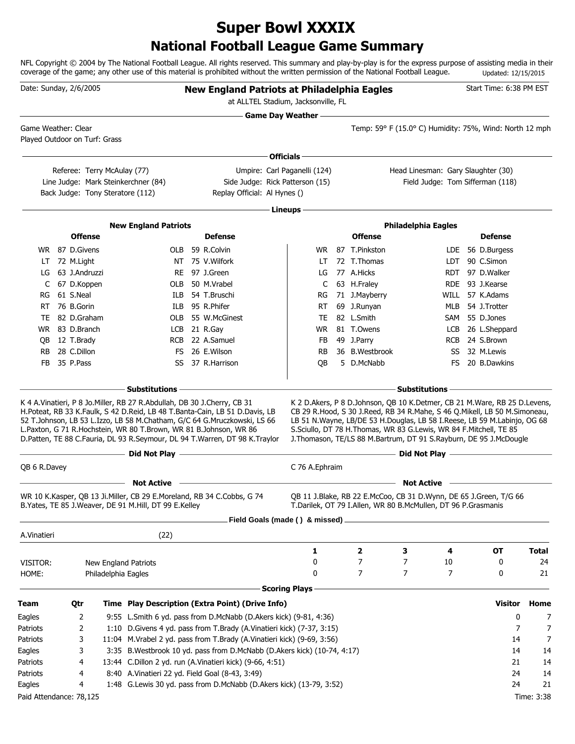# **National Football League Game Summary Super Bowl XXXIX**

NFL Copyright © 2004 by The National Football League. All rights reserved. This summary and play-by-play is for the express purpose of assisting media in their coverage of the game; any other use of this material is prohibited without the written permission of the National Football League. Updated: 12/15/2015

|                         | Date: Sunday, 2/6/2005 |                                  |                                                                                                                                                  | <b>New England Patriots at Philadelphia Eagles</b><br>at ALLTEL Stadium, Jacksonville, FL                                                                                                                                             |                            |                                                                                                                                                                                                                                                                                                                                                                                           |                                                         |            | Start Time: 6:38 PM EST |              |
|-------------------------|------------------------|----------------------------------|--------------------------------------------------------------------------------------------------------------------------------------------------|---------------------------------------------------------------------------------------------------------------------------------------------------------------------------------------------------------------------------------------|----------------------------|-------------------------------------------------------------------------------------------------------------------------------------------------------------------------------------------------------------------------------------------------------------------------------------------------------------------------------------------------------------------------------------------|---------------------------------------------------------|------------|-------------------------|--------------|
|                         |                        |                                  |                                                                                                                                                  |                                                                                                                                                                                                                                       | <b>Game Day Weather --</b> |                                                                                                                                                                                                                                                                                                                                                                                           |                                                         |            |                         |              |
|                         | Game Weather: Clear    |                                  |                                                                                                                                                  |                                                                                                                                                                                                                                       |                            |                                                                                                                                                                                                                                                                                                                                                                                           | Temp: 59° F (15.0° C) Humidity: 75%, Wind: North 12 mph |            |                         |              |
|                         |                        | Played Outdoor on Turf: Grass    |                                                                                                                                                  |                                                                                                                                                                                                                                       |                            |                                                                                                                                                                                                                                                                                                                                                                                           |                                                         |            |                         |              |
|                         |                        |                                  |                                                                                                                                                  |                                                                                                                                                                                                                                       | Officials -                |                                                                                                                                                                                                                                                                                                                                                                                           |                                                         |            |                         |              |
|                         |                        | Referee: Terry McAulay (77)      |                                                                                                                                                  | Umpire: Carl Paganelli (124)                                                                                                                                                                                                          |                            |                                                                                                                                                                                                                                                                                                                                                                                           | Head Linesman: Gary Slaughter (30)                      |            |                         |              |
|                         |                        |                                  | Line Judge: Mark Steinkerchner (84)                                                                                                              | Side Judge: Rick Patterson (15)                                                                                                                                                                                                       |                            |                                                                                                                                                                                                                                                                                                                                                                                           | Field Judge: Tom Sifferman (118)                        |            |                         |              |
|                         |                        | Back Judge: Tony Steratore (112) |                                                                                                                                                  | Replay Official: Al Hynes ()                                                                                                                                                                                                          |                            |                                                                                                                                                                                                                                                                                                                                                                                           |                                                         |            |                         |              |
|                         |                        |                                  |                                                                                                                                                  |                                                                                                                                                                                                                                       | Lineups -                  |                                                                                                                                                                                                                                                                                                                                                                                           |                                                         |            |                         |              |
|                         |                        |                                  | <b>New England Patriots</b>                                                                                                                      |                                                                                                                                                                                                                                       |                            |                                                                                                                                                                                                                                                                                                                                                                                           | <b>Philadelphia Eagles</b>                              |            |                         |              |
|                         | <b>Offense</b>         |                                  |                                                                                                                                                  | <b>Defense</b>                                                                                                                                                                                                                        |                            | <b>Offense</b>                                                                                                                                                                                                                                                                                                                                                                            |                                                         |            | <b>Defense</b>          |              |
|                         | WR 87 D.Givens         |                                  |                                                                                                                                                  | OLB 59 R.Colvin                                                                                                                                                                                                                       | WR.                        | 87 T.Pinkston                                                                                                                                                                                                                                                                                                                                                                             |                                                         |            | LDE 56 D.Burgess        |              |
| LT.                     | 72 M.Light             |                                  |                                                                                                                                                  | NT 75 V. Wilfork                                                                                                                                                                                                                      | LT                         | 72 T.Thomas                                                                                                                                                                                                                                                                                                                                                                               |                                                         |            | LDT 90 C.Simon          |              |
| LG                      | 63 J.Andruzzi          |                                  |                                                                                                                                                  | RE 97 J.Green                                                                                                                                                                                                                         | LG                         | 77 A.Hicks                                                                                                                                                                                                                                                                                                                                                                                |                                                         | <b>RDT</b> | 97 D.Walker             |              |
| C                       | 67 D.Koppen            |                                  |                                                                                                                                                  | OLB 50 M.Vrabel                                                                                                                                                                                                                       | C                          | 63 H.Fraley                                                                                                                                                                                                                                                                                                                                                                               |                                                         |            | RDE 93 J.Kearse         |              |
| RG                      | 61 S.Neal              |                                  |                                                                                                                                                  | ILB 54 T.Bruschi                                                                                                                                                                                                                      | RG                         | 71 J.Mayberry                                                                                                                                                                                                                                                                                                                                                                             |                                                         |            | WILL 57 K.Adams         |              |
| RT.                     | 76 B.Gorin             |                                  |                                                                                                                                                  | ILB 95 R.Phifer                                                                                                                                                                                                                       | RT                         | 69 J.Runyan                                                                                                                                                                                                                                                                                                                                                                               |                                                         |            | MLB 54 J.Trotter        |              |
| TE.                     | 82 D.Graham            |                                  |                                                                                                                                                  | OLB 55 W.McGinest                                                                                                                                                                                                                     | TE                         | 82 L.Smith                                                                                                                                                                                                                                                                                                                                                                                |                                                         |            | SAM 55 D.Jones          |              |
|                         | WR 83 D.Branch         |                                  |                                                                                                                                                  | LCB 21 R.Gay                                                                                                                                                                                                                          | WR                         | 81 T.Owens                                                                                                                                                                                                                                                                                                                                                                                |                                                         | LCB        | 26 L.Sheppard           |              |
| QB                      | 12 T.Brady             |                                  |                                                                                                                                                  | RCB 22 A.Samuel                                                                                                                                                                                                                       | FB                         | 49 J.Parry                                                                                                                                                                                                                                                                                                                                                                                |                                                         | <b>RCB</b> | 24 S.Brown              |              |
| RB.                     | 28 C.Dillon            |                                  |                                                                                                                                                  | FS 26 E.Wilson                                                                                                                                                                                                                        | RB                         | 36 B.Westbrook                                                                                                                                                                                                                                                                                                                                                                            |                                                         | SS         | 32 M.Lewis              |              |
| FB                      | 35 P.Pass              |                                  | SS                                                                                                                                               | 37 R.Harrison                                                                                                                                                                                                                         | QB                         | 5 D.McNabb                                                                                                                                                                                                                                                                                                                                                                                |                                                         | FS         | 20 B.Dawkins            |              |
|                         |                        |                                  |                                                                                                                                                  |                                                                                                                                                                                                                                       |                            |                                                                                                                                                                                                                                                                                                                                                                                           |                                                         |            |                         |              |
|                         |                        |                                  | <b>Substitutions</b>                                                                                                                             |                                                                                                                                                                                                                                       |                            |                                                                                                                                                                                                                                                                                                                                                                                           | <b>Substitutions</b>                                    |            |                         |              |
|                         |                        |                                  | K 4 A. Vinatieri, P 8 Jo. Miller, RB 27 R. Abdullah, DB 30 J. Cherry, CB 31<br>L.Paxton, G 71 R.Hochstein, WR 80 T.Brown, WR 81 B.Johnson, WR 86 | H.Poteat, RB 33 K.Faulk, S 42 D.Reid, LB 48 T.Banta-Cain, LB 51 D.Davis, LB<br>52 T.Johnson, LB 53 L.Izzo, LB 58 M.Chatham, G/C 64 G.Mruczkowski, LS 66<br>D.Patten, TE 88 C.Fauria, DL 93 R.Seymour, DL 94 T.Warren, DT 98 K.Traylor |                            | K 2 D. Akers, P 8 D. Johnson, QB 10 K. Detmer, CB 21 M. Ware, RB 25 D. Levens,<br>CB 29 R.Hood, S 30 J.Reed, RB 34 R.Mahe, S 46 Q.Mikell, LB 50 M.Simoneau,<br>LB 51 N. Wayne, LB/DE 53 H. Douglas, LB 58 I. Reese, LB 59 M. Labinjo, OG 68<br>S.Sciullo, DT 78 H.Thomas, WR 83 G.Lewis, WR 84 F.Mitchell, TE 85<br>J. Thomason, TE/LS 88 M. Bartrum, DT 91 S. Rayburn, DE 95 J. McDougle |                                                         |            |                         |              |
|                         |                        |                                  | Did Not Play -                                                                                                                                   |                                                                                                                                                                                                                                       |                            |                                                                                                                                                                                                                                                                                                                                                                                           | Did Not Play -                                          |            |                         |              |
| QB 6 R.Davey            |                        |                                  |                                                                                                                                                  |                                                                                                                                                                                                                                       | C 76 A.Ephraim             |                                                                                                                                                                                                                                                                                                                                                                                           |                                                         |            |                         |              |
|                         |                        |                                  | <b>Not Active</b>                                                                                                                                |                                                                                                                                                                                                                                       |                            |                                                                                                                                                                                                                                                                                                                                                                                           | <b>Not Active</b>                                       |            |                         |              |
|                         |                        |                                  | WR 10 K.Kasper, QB 13 Ji.Miller, CB 29 E.Moreland, RB 34 C.Cobbs, G 74<br>B. Yates, TE 85 J. Weaver, DE 91 M. Hill, DT 99 E. Kelley              |                                                                                                                                                                                                                                       |                            | QB 11 J.Blake, RB 22 E.McCoo, CB 31 D.Wynn, DE 65 J.Green, T/G 66<br>T.Darilek, OT 79 I.Allen, WR 80 B.McMullen, DT 96 P.Grasmanis                                                                                                                                                                                                                                                        |                                                         |            |                         |              |
|                         |                        |                                  |                                                                                                                                                  | Field Goals (made () & missed) _                                                                                                                                                                                                      |                            |                                                                                                                                                                                                                                                                                                                                                                                           |                                                         |            |                         |              |
| A.Vinatieri             |                        |                                  | (22)                                                                                                                                             |                                                                                                                                                                                                                                       |                            |                                                                                                                                                                                                                                                                                                                                                                                           |                                                         |            |                         |              |
|                         |                        |                                  |                                                                                                                                                  |                                                                                                                                                                                                                                       | 1                          | 2                                                                                                                                                                                                                                                                                                                                                                                         | 3                                                       | 4          | <b>OT</b>               | <b>Total</b> |
| VISITOR:                |                        | New England Patriots             |                                                                                                                                                  |                                                                                                                                                                                                                                       | 0                          | 7                                                                                                                                                                                                                                                                                                                                                                                         | 7                                                       | 10         | 0                       | 24           |
| HOME:                   |                        | Philadelphia Eagles              |                                                                                                                                                  |                                                                                                                                                                                                                                       | 0                          | 7                                                                                                                                                                                                                                                                                                                                                                                         | 7                                                       | 7          | 0                       | 21           |
|                         |                        |                                  |                                                                                                                                                  |                                                                                                                                                                                                                                       | <b>Scoring Plays</b>       |                                                                                                                                                                                                                                                                                                                                                                                           |                                                         |            |                         |              |
| Team                    | Qtr                    |                                  |                                                                                                                                                  | Time Play Description (Extra Point) (Drive Info)                                                                                                                                                                                      |                            |                                                                                                                                                                                                                                                                                                                                                                                           |                                                         |            | <b>Visitor</b>          | Home         |
| Eagles                  | 2                      |                                  |                                                                                                                                                  | 9:55 L.Smith 6 yd. pass from D.McNabb (D.Akers kick) (9-81, 4:36)                                                                                                                                                                     |                            |                                                                                                                                                                                                                                                                                                                                                                                           |                                                         |            | 0                       | 7            |
| Patriots                | 2                      |                                  |                                                                                                                                                  | 1:10 D. Givens 4 yd. pass from T. Brady (A. Vinatieri kick) (7-37, 3:15)                                                                                                                                                              |                            |                                                                                                                                                                                                                                                                                                                                                                                           |                                                         |            | 7                       | 7            |
| Patriots                | 3                      |                                  |                                                                                                                                                  | 11:04 M.Vrabel 2 yd. pass from T.Brady (A.Vinatieri kick) (9-69, 3:56)                                                                                                                                                                |                            |                                                                                                                                                                                                                                                                                                                                                                                           |                                                         |            | 14                      | 7            |
| Eagles                  | 3                      |                                  |                                                                                                                                                  | 3:35 B. Westbrook 10 yd. pass from D. McNabb (D. Akers kick) (10-74, 4:17)                                                                                                                                                            |                            |                                                                                                                                                                                                                                                                                                                                                                                           |                                                         |            | 14                      | 14           |
| Patriots                | 4                      |                                  |                                                                                                                                                  | 13:44 C.Dillon 2 yd. run (A.Vinatieri kick) (9-66, 4:51)                                                                                                                                                                              |                            |                                                                                                                                                                                                                                                                                                                                                                                           |                                                         |            | 21                      | 14           |
| Patriots                | 4                      |                                  | 8:40 A.Vinatieri 22 yd. Field Goal (8-43, 3:49)                                                                                                  |                                                                                                                                                                                                                                       |                            |                                                                                                                                                                                                                                                                                                                                                                                           |                                                         |            | 24                      | 14           |
| Eagles                  | 4                      |                                  |                                                                                                                                                  | 1:48 G.Lewis 30 yd. pass from D.McNabb (D.Akers kick) (13-79, 3:52)                                                                                                                                                                   |                            |                                                                                                                                                                                                                                                                                                                                                                                           |                                                         |            | 24                      | 21           |
| Paid Attendance: 78,125 |                        |                                  |                                                                                                                                                  |                                                                                                                                                                                                                                       |                            |                                                                                                                                                                                                                                                                                                                                                                                           |                                                         |            |                         | Time: 3:38   |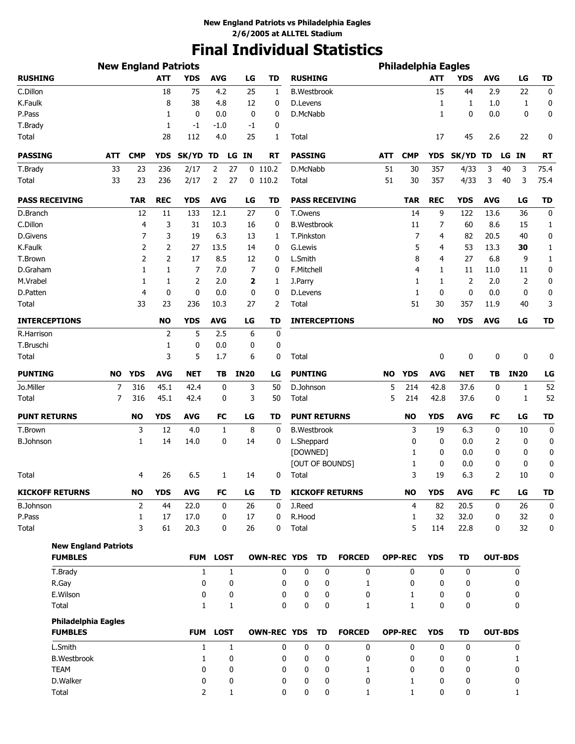# **Final Individual Statistics**

|                                               | <b>New England Patriots</b> |                |            |              |                   |             |                    |                     |    |                        |            | <b>Philadelphia Eagles</b> |            |             |                |             |             |
|-----------------------------------------------|-----------------------------|----------------|------------|--------------|-------------------|-------------|--------------------|---------------------|----|------------------------|------------|----------------------------|------------|-------------|----------------|-------------|-------------|
| <b>RUSHING</b>                                |                             |                | <b>ATT</b> | <b>YDS</b>   | <b>AVG</b>        | LG          | <b>TD</b>          | <b>RUSHING</b>      |    |                        |            |                            | <b>ATT</b> | <b>YDS</b>  | <b>AVG</b>     | LG          | <b>TD</b>   |
| C.Dillon                                      |                             |                | 18         | 75           | 4.2               | 25          | 1                  | <b>B.Westbrook</b>  |    |                        |            |                            | 15         | 44          | 2.9            | 22          | 0           |
| K.Faulk                                       |                             |                | 8          | 38           | 4.8               | 12          | 0                  | D.Levens            |    |                        |            |                            | 1          | 1           | 1.0            | 1           | 0           |
| P.Pass                                        |                             |                | 1          | 0            | 0.0               | 0           | 0                  | D.McNabb            |    |                        |            |                            | 1          | 0           | 0.0            | 0           | 0           |
| T.Brady                                       |                             |                | 1          | $-1$         | $-1.0$            | -1          | 0                  |                     |    |                        |            |                            |            |             |                |             |             |
| Total                                         |                             |                | 28         | 112          | 4.0               | 25          | 1                  | Total               |    |                        |            |                            | 17         | 45          | 2.6            | 22          | 0           |
| <b>PASSING</b>                                | ATT                         | <b>CMP</b>     | <b>YDS</b> | SK/YD TD     |                   | LG IN       | RT                 | <b>PASSING</b>      |    |                        | <b>ATT</b> | <b>CMP</b>                 | <b>YDS</b> | SK/YD TD    |                | LG<br>ΙN    | RT          |
| T.Brady                                       | 33                          | 23             | 236        | 2/17         | 2                 | 27          | $0$ 110.2          | D.McNabb            |    |                        | 51         | 30                         | 357        | 4/33        | 3              | 40<br>3     | 75.4        |
| Total                                         | 33                          | 23             | 236        | 2/17         | 2                 | 27          | $0$ 110.2          | Total               |    |                        | 51         | 30                         | 357        | 4/33        | 3              | 40<br>3     | 75.4        |
| <b>PASS RECEIVING</b>                         |                             | <b>TAR</b>     | <b>REC</b> | <b>YDS</b>   | <b>AVG</b>        | LG          | TD                 |                     |    | <b>PASS RECEIVING</b>  |            | <b>TAR</b>                 | <b>REC</b> | YDS         | <b>AVG</b>     | LG          | <b>TD</b>   |
| D.Branch                                      |                             | 12             | 11         | 133          | 12.1              | 27          | 0                  | T.Owens             |    |                        |            | 14                         | 9          | 122         | 13.6           | 36          | 0           |
| C.Dillon                                      |                             | $\overline{4}$ | 3          | 31           | 10.3              | 16          | 0                  | <b>B.Westbrook</b>  |    |                        |            | 11                         | 7          | 60          | 8.6            | 15          | 1           |
| D.Givens                                      |                             | 7              | 3          | 19           | 6.3               | 13          | 1                  | T.Pinkston          |    |                        |            | 7                          | 4          | 82          | 20.5           | 40          | 0           |
| K.Faulk                                       |                             | 2              | 2          | 27           | 13.5              | 14          | 0                  | G.Lewis             |    |                        |            | 5                          | 4          | 53          | 13.3           | 30          | 1           |
| T.Brown                                       |                             | 2              | 2          | 17           | 8.5               | 12          | 0                  | L.Smith             |    |                        |            | 8                          | 4          | 27          | 6.8            | 9           | 1           |
| D.Graham                                      |                             | 1              | 1          | 7            | 7.0               | 7           | 0                  | F.Mitchell          |    |                        |            | 4                          | 1          | 11          | 11.0           | 11          | 0           |
| M.Vrabel                                      |                             | 1              | 1          | 2            | 2.0               | 2           | 1                  | J.Parry             |    |                        |            | 1                          | 1          | 2           | 2.0            | 2           | 0           |
| D.Patten                                      |                             | 4              | 0          | 0            | 0.0               | 0           | 0                  | D.Levens            |    |                        |            | 1                          | 0          | $\mathbf 0$ | 0.0            | 0           | 0           |
| Total                                         |                             | 33             | 23         | 236          | 10.3              | 27          | 2                  | Total               |    |                        |            | 51                         | 30         | 357         | 11.9           | 40          | 3           |
| <b>INTERCEPTIONS</b>                          |                             |                | <b>NO</b>  | <b>YDS</b>   | <b>AVG</b>        | LG          | <b>TD</b>          |                     |    | <b>INTERCEPTIONS</b>   |            |                            | <b>NO</b>  | <b>YDS</b>  | <b>AVG</b>     | LG          | <b>TD</b>   |
| R.Harrison                                    |                             |                | 2          | 5            | 2.5               | 6           | 0                  |                     |    |                        |            |                            |            |             |                |             |             |
| T.Bruschi                                     |                             |                | 1          | 0            | 0.0               | 0           | 0                  |                     |    |                        |            |                            |            |             |                |             |             |
| Total                                         |                             |                | 3          | 5            | 1.7               | 6           | 0                  | Total               |    |                        |            |                            | 0          | 0           | 0              | 0           | 0           |
| <b>PUNTING</b>                                | <b>NO</b>                   | <b>YDS</b>     | <b>AVG</b> | <b>NET</b>   | TB                | <b>IN20</b> | LG                 | <b>PUNTING</b>      |    |                        | <b>NO</b>  | <b>YDS</b>                 | <b>AVG</b> | <b>NET</b>  | TВ             | <b>IN20</b> | LG          |
| Jo.Miller                                     | 7                           | 316            | 45.1       | 42.4         | 0                 | 3           | 50                 | D.Johnson           |    |                        | 5          | 214                        | 42.8       | 37.6        | 0              | 1           | 52          |
| Total                                         | 7                           | 316            | 45.1       | 42.4         | 0                 | 3           | 50                 | Total               |    |                        | 5          | 214                        | 42.8       | 37.6        | 0              | 1           | 52          |
| <b>PUNT RETURNS</b>                           |                             | <b>NO</b>      | <b>YDS</b> | <b>AVG</b>   | FC                | LG          | TD                 | <b>PUNT RETURNS</b> |    |                        |            | <b>NO</b>                  | <b>YDS</b> | <b>AVG</b>  | FC             | LG          | <b>TD</b>   |
| T.Brown                                       |                             | 3              | 12         | 4.0          | 1                 | 8           | 0                  | <b>B.Westbrook</b>  |    |                        |            | 3                          | 19         | 6.3         | 0              | 10          | $\mathbf 0$ |
| <b>B.Johnson</b>                              |                             | 1              | 14         | 14.0         | 0                 | 14          | 0                  | L.Sheppard          |    |                        |            | 0                          | 0          | 0.0         | 2              | 0           | 0           |
|                                               |                             |                |            |              |                   |             |                    | [DOWNED]            |    |                        |            | 1                          | 0          | 0.0         | 0              | 0           | 0           |
|                                               |                             |                |            |              |                   |             |                    |                     |    | [OUT OF BOUNDS]        |            | 1                          | 0          | 0.0         | 0              | 0           | 0           |
| Total                                         |                             | 4              | 26         | 6.5          | 1                 | 14          | 0                  | Total               |    |                        |            | 3                          | 19         | 6.3         | 2              | 10          | 0           |
| <b>KICKOFF RETURNS</b>                        |                             | <b>NO</b>      | <b>YDS</b> | <b>AVG</b>   | FC                | LG          | TD                 |                     |    | <b>KICKOFF RETURNS</b> |            | <b>NO</b>                  | <b>YDS</b> | <b>AVG</b>  | FC             | LG          | <b>TD</b>   |
| <b>B.Johnson</b>                              |                             | 2              | 44         | 22.0         | 0                 | 26          | 0                  | J.Reed              |    |                        |            | 4                          | 82         | 20.5        | 0              | 26          | $\mathbf 0$ |
| P.Pass                                        |                             | 1              | 17         | 17.0         | 0                 | 17          | 0                  | R.Hood              |    |                        |            | 1                          | 32         | 32.0        | 0              | 32          | 0           |
| Total                                         |                             | 3              | 61         | 20.3         | 0                 | 26          | 0                  | Total               |    |                        |            | 5                          | 114        | 22.8        | 0              | 32          | 0           |
| <b>New England Patriots</b><br><b>FUMBLES</b> |                             |                |            | <b>FUM</b>   | <b>LOST</b>       |             | <b>OWN-REC YDS</b> |                     | TD | <b>FORCED</b>          |            | <b>OPP-REC</b>             | <b>YDS</b> | <b>TD</b>   | <b>OUT-BDS</b> |             |             |
| T.Brady                                       |                             |                |            |              |                   |             | 0                  | 0                   | 0  |                        |            | 0                          | 0          | 0           |                |             |             |
| R.Gay                                         |                             |                |            | 1<br>0       | $\mathbf{1}$<br>0 |             | 0                  | 0                   | 0  | 0<br>1                 |            | 0                          | 0          | 0           |                | 0<br>0      |             |
| E.Wilson                                      |                             |                |            | 0            | 0                 |             | 0                  | 0                   | 0  | 0                      |            | 1                          | 0          | 0           |                | 0           |             |
| Total                                         |                             |                |            | $\mathbf{1}$ | 1                 |             | 0                  | 0                   | 0  | $\mathbf{1}$           |            | 1                          | 0          | 0           |                | 0           |             |
| <b>Philadelphia Eagles</b>                    |                             |                |            |              |                   |             |                    |                     |    |                        |            |                            |            |             |                |             |             |
| <b>FUMBLES</b>                                |                             |                |            | <b>FUM</b>   | <b>LOST</b>       |             | <b>OWN-REC YDS</b> |                     | TD | <b>FORCED</b>          |            | <b>OPP-REC</b>             | <b>YDS</b> | TD          | <b>OUT-BDS</b> |             |             |
| L.Smith                                       |                             |                |            | 1            | 1                 |             | 0                  | 0                   | 0  | 0                      |            | 0                          | 0          | 0           |                | 0           |             |
| <b>B.Westbrook</b>                            |                             |                |            | 1            | 0                 |             | 0                  | 0                   | 0  | 0                      |            | 0                          | 0          | 0           |                | 1           |             |
| <b>TEAM</b>                                   |                             |                |            | 0            | 0                 |             | 0                  | 0                   | 0  | 1                      |            | 0                          | 0          | 0           |                | 0           |             |
| D.Walker                                      |                             |                |            | 0            | 0                 |             | 0                  | 0                   | 0  | 0                      |            | 1                          | 0          | 0           |                | 0           |             |
| <b>Total</b>                                  |                             |                |            | 2            | 1                 |             | 0                  | 0                   | 0  | 1                      |            | 1                          | 0          | 0           |                | 1           |             |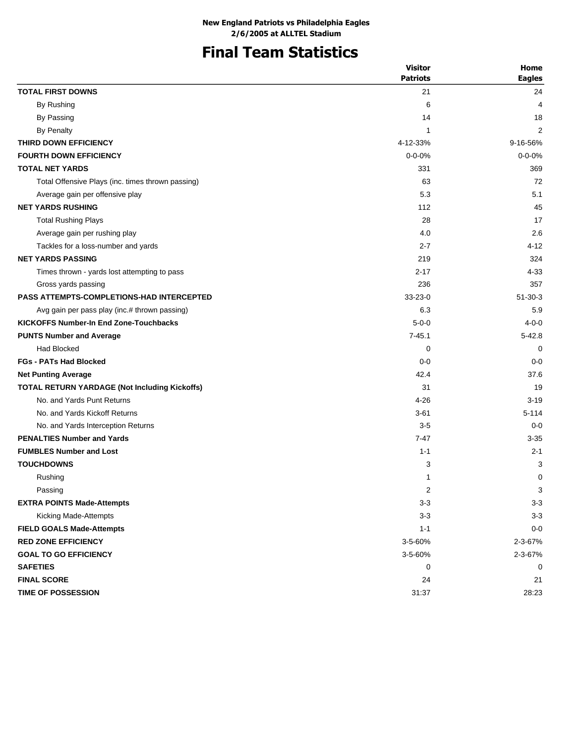# **Final Team Statistics**

| <b>TOTAL FIRST DOWNS</b><br>21<br>24<br>By Rushing<br>6<br>4<br>By Passing<br>14<br>18<br>By Penalty<br>2<br>1<br>THIRD DOWN EFFICIENCY<br>4-12-33%<br>9-16-56%<br><b>FOURTH DOWN EFFICIENCY</b><br>$0 - 0 - 0%$<br>$0 - 0 - 0%$<br><b>TOTAL NET YARDS</b><br>331<br>369<br>72<br>Total Offensive Plays (inc. times thrown passing)<br>63<br>5.3<br>5.1<br>Average gain per offensive play<br><b>NET YARDS RUSHING</b><br>45<br>112<br><b>Total Rushing Plays</b><br>28<br>17<br>2.6<br>4.0<br>Average gain per rushing play<br>Tackles for a loss-number and yards<br>$2 - 7$<br>4-12<br><b>NET YARDS PASSING</b><br>219<br>324<br>4-33<br>Times thrown - yards lost attempting to pass<br>$2 - 17$<br>236<br>357<br>Gross yards passing<br><b>PASS ATTEMPTS-COMPLETIONS-HAD INTERCEPTED</b><br>$33 - 23 - 0$<br>$51 - 30 - 3$<br>6.3<br>5.9<br>Avg gain per pass play (inc.# thrown passing)<br><b>KICKOFFS Number-In End Zone-Touchbacks</b><br>$5 - 0 - 0$<br>$4 - 0 - 0$<br>$7 - 45.1$<br><b>PUNTS Number and Average</b><br>$5 - 42.8$<br>Had Blocked<br>0<br>0<br><b>FGs - PATs Had Blocked</b><br>$0 - 0$<br>$0 - 0$<br>42.4<br>37.6<br><b>Net Punting Average</b><br>TOTAL RETURN YARDAGE (Not Including Kickoffs)<br>31<br>19<br>No. and Yards Punt Returns<br>$4 - 26$<br>$3 - 19$<br>No. and Yards Kickoff Returns<br>$3 - 61$<br>$5 - 114$<br>No. and Yards Interception Returns<br>$3-5$<br>$0 - 0$<br><b>PENALTIES Number and Yards</b><br>$7 - 47$<br>$3 - 35$<br><b>FUMBLES Number and Lost</b><br>$1 - 1$<br>$2 - 1$<br><b>TOUCHDOWNS</b><br>3<br>3<br>0<br>Rushing<br>1<br>3<br>2<br>Passing<br><b>EXTRA POINTS Made-Attempts</b><br>$3 - 3$<br>$3 - 3$<br>$3 - 3$<br>$3 - 3$<br>Kicking Made-Attempts<br><b>FIELD GOALS Made-Attempts</b><br>$1 - 1$<br>$0 - 0$<br><b>RED ZONE EFFICIENCY</b><br>3-5-60%<br>2-3-67%<br>3-5-60%<br><b>GOAL TO GO EFFICIENCY</b><br>2-3-67% | <b>Visitor</b>  | Home          |
|-----------------------------------------------------------------------------------------------------------------------------------------------------------------------------------------------------------------------------------------------------------------------------------------------------------------------------------------------------------------------------------------------------------------------------------------------------------------------------------------------------------------------------------------------------------------------------------------------------------------------------------------------------------------------------------------------------------------------------------------------------------------------------------------------------------------------------------------------------------------------------------------------------------------------------------------------------------------------------------------------------------------------------------------------------------------------------------------------------------------------------------------------------------------------------------------------------------------------------------------------------------------------------------------------------------------------------------------------------------------------------------------------------------------------------------------------------------------------------------------------------------------------------------------------------------------------------------------------------------------------------------------------------------------------------------------------------------------------------------------------------------------------------------------------------------------------------------------------------------------------------------------------|-----------------|---------------|
|                                                                                                                                                                                                                                                                                                                                                                                                                                                                                                                                                                                                                                                                                                                                                                                                                                                                                                                                                                                                                                                                                                                                                                                                                                                                                                                                                                                                                                                                                                                                                                                                                                                                                                                                                                                                                                                                                               | <b>Patriots</b> | <b>Eagles</b> |
|                                                                                                                                                                                                                                                                                                                                                                                                                                                                                                                                                                                                                                                                                                                                                                                                                                                                                                                                                                                                                                                                                                                                                                                                                                                                                                                                                                                                                                                                                                                                                                                                                                                                                                                                                                                                                                                                                               |                 |               |
|                                                                                                                                                                                                                                                                                                                                                                                                                                                                                                                                                                                                                                                                                                                                                                                                                                                                                                                                                                                                                                                                                                                                                                                                                                                                                                                                                                                                                                                                                                                                                                                                                                                                                                                                                                                                                                                                                               |                 |               |
|                                                                                                                                                                                                                                                                                                                                                                                                                                                                                                                                                                                                                                                                                                                                                                                                                                                                                                                                                                                                                                                                                                                                                                                                                                                                                                                                                                                                                                                                                                                                                                                                                                                                                                                                                                                                                                                                                               |                 |               |
|                                                                                                                                                                                                                                                                                                                                                                                                                                                                                                                                                                                                                                                                                                                                                                                                                                                                                                                                                                                                                                                                                                                                                                                                                                                                                                                                                                                                                                                                                                                                                                                                                                                                                                                                                                                                                                                                                               |                 |               |
|                                                                                                                                                                                                                                                                                                                                                                                                                                                                                                                                                                                                                                                                                                                                                                                                                                                                                                                                                                                                                                                                                                                                                                                                                                                                                                                                                                                                                                                                                                                                                                                                                                                                                                                                                                                                                                                                                               |                 |               |
|                                                                                                                                                                                                                                                                                                                                                                                                                                                                                                                                                                                                                                                                                                                                                                                                                                                                                                                                                                                                                                                                                                                                                                                                                                                                                                                                                                                                                                                                                                                                                                                                                                                                                                                                                                                                                                                                                               |                 |               |
|                                                                                                                                                                                                                                                                                                                                                                                                                                                                                                                                                                                                                                                                                                                                                                                                                                                                                                                                                                                                                                                                                                                                                                                                                                                                                                                                                                                                                                                                                                                                                                                                                                                                                                                                                                                                                                                                                               |                 |               |
|                                                                                                                                                                                                                                                                                                                                                                                                                                                                                                                                                                                                                                                                                                                                                                                                                                                                                                                                                                                                                                                                                                                                                                                                                                                                                                                                                                                                                                                                                                                                                                                                                                                                                                                                                                                                                                                                                               |                 |               |
|                                                                                                                                                                                                                                                                                                                                                                                                                                                                                                                                                                                                                                                                                                                                                                                                                                                                                                                                                                                                                                                                                                                                                                                                                                                                                                                                                                                                                                                                                                                                                                                                                                                                                                                                                                                                                                                                                               |                 |               |
|                                                                                                                                                                                                                                                                                                                                                                                                                                                                                                                                                                                                                                                                                                                                                                                                                                                                                                                                                                                                                                                                                                                                                                                                                                                                                                                                                                                                                                                                                                                                                                                                                                                                                                                                                                                                                                                                                               |                 |               |
|                                                                                                                                                                                                                                                                                                                                                                                                                                                                                                                                                                                                                                                                                                                                                                                                                                                                                                                                                                                                                                                                                                                                                                                                                                                                                                                                                                                                                                                                                                                                                                                                                                                                                                                                                                                                                                                                                               |                 |               |
|                                                                                                                                                                                                                                                                                                                                                                                                                                                                                                                                                                                                                                                                                                                                                                                                                                                                                                                                                                                                                                                                                                                                                                                                                                                                                                                                                                                                                                                                                                                                                                                                                                                                                                                                                                                                                                                                                               |                 |               |
|                                                                                                                                                                                                                                                                                                                                                                                                                                                                                                                                                                                                                                                                                                                                                                                                                                                                                                                                                                                                                                                                                                                                                                                                                                                                                                                                                                                                                                                                                                                                                                                                                                                                                                                                                                                                                                                                                               |                 |               |
|                                                                                                                                                                                                                                                                                                                                                                                                                                                                                                                                                                                                                                                                                                                                                                                                                                                                                                                                                                                                                                                                                                                                                                                                                                                                                                                                                                                                                                                                                                                                                                                                                                                                                                                                                                                                                                                                                               |                 |               |
|                                                                                                                                                                                                                                                                                                                                                                                                                                                                                                                                                                                                                                                                                                                                                                                                                                                                                                                                                                                                                                                                                                                                                                                                                                                                                                                                                                                                                                                                                                                                                                                                                                                                                                                                                                                                                                                                                               |                 |               |
|                                                                                                                                                                                                                                                                                                                                                                                                                                                                                                                                                                                                                                                                                                                                                                                                                                                                                                                                                                                                                                                                                                                                                                                                                                                                                                                                                                                                                                                                                                                                                                                                                                                                                                                                                                                                                                                                                               |                 |               |
|                                                                                                                                                                                                                                                                                                                                                                                                                                                                                                                                                                                                                                                                                                                                                                                                                                                                                                                                                                                                                                                                                                                                                                                                                                                                                                                                                                                                                                                                                                                                                                                                                                                                                                                                                                                                                                                                                               |                 |               |
|                                                                                                                                                                                                                                                                                                                                                                                                                                                                                                                                                                                                                                                                                                                                                                                                                                                                                                                                                                                                                                                                                                                                                                                                                                                                                                                                                                                                                                                                                                                                                                                                                                                                                                                                                                                                                                                                                               |                 |               |
|                                                                                                                                                                                                                                                                                                                                                                                                                                                                                                                                                                                                                                                                                                                                                                                                                                                                                                                                                                                                                                                                                                                                                                                                                                                                                                                                                                                                                                                                                                                                                                                                                                                                                                                                                                                                                                                                                               |                 |               |
|                                                                                                                                                                                                                                                                                                                                                                                                                                                                                                                                                                                                                                                                                                                                                                                                                                                                                                                                                                                                                                                                                                                                                                                                                                                                                                                                                                                                                                                                                                                                                                                                                                                                                                                                                                                                                                                                                               |                 |               |
|                                                                                                                                                                                                                                                                                                                                                                                                                                                                                                                                                                                                                                                                                                                                                                                                                                                                                                                                                                                                                                                                                                                                                                                                                                                                                                                                                                                                                                                                                                                                                                                                                                                                                                                                                                                                                                                                                               |                 |               |
|                                                                                                                                                                                                                                                                                                                                                                                                                                                                                                                                                                                                                                                                                                                                                                                                                                                                                                                                                                                                                                                                                                                                                                                                                                                                                                                                                                                                                                                                                                                                                                                                                                                                                                                                                                                                                                                                                               |                 |               |
|                                                                                                                                                                                                                                                                                                                                                                                                                                                                                                                                                                                                                                                                                                                                                                                                                                                                                                                                                                                                                                                                                                                                                                                                                                                                                                                                                                                                                                                                                                                                                                                                                                                                                                                                                                                                                                                                                               |                 |               |
|                                                                                                                                                                                                                                                                                                                                                                                                                                                                                                                                                                                                                                                                                                                                                                                                                                                                                                                                                                                                                                                                                                                                                                                                                                                                                                                                                                                                                                                                                                                                                                                                                                                                                                                                                                                                                                                                                               |                 |               |
|                                                                                                                                                                                                                                                                                                                                                                                                                                                                                                                                                                                                                                                                                                                                                                                                                                                                                                                                                                                                                                                                                                                                                                                                                                                                                                                                                                                                                                                                                                                                                                                                                                                                                                                                                                                                                                                                                               |                 |               |
|                                                                                                                                                                                                                                                                                                                                                                                                                                                                                                                                                                                                                                                                                                                                                                                                                                                                                                                                                                                                                                                                                                                                                                                                                                                                                                                                                                                                                                                                                                                                                                                                                                                                                                                                                                                                                                                                                               |                 |               |
|                                                                                                                                                                                                                                                                                                                                                                                                                                                                                                                                                                                                                                                                                                                                                                                                                                                                                                                                                                                                                                                                                                                                                                                                                                                                                                                                                                                                                                                                                                                                                                                                                                                                                                                                                                                                                                                                                               |                 |               |
|                                                                                                                                                                                                                                                                                                                                                                                                                                                                                                                                                                                                                                                                                                                                                                                                                                                                                                                                                                                                                                                                                                                                                                                                                                                                                                                                                                                                                                                                                                                                                                                                                                                                                                                                                                                                                                                                                               |                 |               |
|                                                                                                                                                                                                                                                                                                                                                                                                                                                                                                                                                                                                                                                                                                                                                                                                                                                                                                                                                                                                                                                                                                                                                                                                                                                                                                                                                                                                                                                                                                                                                                                                                                                                                                                                                                                                                                                                                               |                 |               |
|                                                                                                                                                                                                                                                                                                                                                                                                                                                                                                                                                                                                                                                                                                                                                                                                                                                                                                                                                                                                                                                                                                                                                                                                                                                                                                                                                                                                                                                                                                                                                                                                                                                                                                                                                                                                                                                                                               |                 |               |
|                                                                                                                                                                                                                                                                                                                                                                                                                                                                                                                                                                                                                                                                                                                                                                                                                                                                                                                                                                                                                                                                                                                                                                                                                                                                                                                                                                                                                                                                                                                                                                                                                                                                                                                                                                                                                                                                                               |                 |               |
|                                                                                                                                                                                                                                                                                                                                                                                                                                                                                                                                                                                                                                                                                                                                                                                                                                                                                                                                                                                                                                                                                                                                                                                                                                                                                                                                                                                                                                                                                                                                                                                                                                                                                                                                                                                                                                                                                               |                 |               |
|                                                                                                                                                                                                                                                                                                                                                                                                                                                                                                                                                                                                                                                                                                                                                                                                                                                                                                                                                                                                                                                                                                                                                                                                                                                                                                                                                                                                                                                                                                                                                                                                                                                                                                                                                                                                                                                                                               |                 |               |
|                                                                                                                                                                                                                                                                                                                                                                                                                                                                                                                                                                                                                                                                                                                                                                                                                                                                                                                                                                                                                                                                                                                                                                                                                                                                                                                                                                                                                                                                                                                                                                                                                                                                                                                                                                                                                                                                                               |                 |               |
|                                                                                                                                                                                                                                                                                                                                                                                                                                                                                                                                                                                                                                                                                                                                                                                                                                                                                                                                                                                                                                                                                                                                                                                                                                                                                                                                                                                                                                                                                                                                                                                                                                                                                                                                                                                                                                                                                               |                 |               |
|                                                                                                                                                                                                                                                                                                                                                                                                                                                                                                                                                                                                                                                                                                                                                                                                                                                                                                                                                                                                                                                                                                                                                                                                                                                                                                                                                                                                                                                                                                                                                                                                                                                                                                                                                                                                                                                                                               |                 |               |
|                                                                                                                                                                                                                                                                                                                                                                                                                                                                                                                                                                                                                                                                                                                                                                                                                                                                                                                                                                                                                                                                                                                                                                                                                                                                                                                                                                                                                                                                                                                                                                                                                                                                                                                                                                                                                                                                                               |                 |               |
| <b>SAFETIES</b><br>0<br>0                                                                                                                                                                                                                                                                                                                                                                                                                                                                                                                                                                                                                                                                                                                                                                                                                                                                                                                                                                                                                                                                                                                                                                                                                                                                                                                                                                                                                                                                                                                                                                                                                                                                                                                                                                                                                                                                     |                 |               |
| 24<br><b>FINAL SCORE</b><br>21                                                                                                                                                                                                                                                                                                                                                                                                                                                                                                                                                                                                                                                                                                                                                                                                                                                                                                                                                                                                                                                                                                                                                                                                                                                                                                                                                                                                                                                                                                                                                                                                                                                                                                                                                                                                                                                                |                 |               |
| TIME OF POSSESSION<br>31:37<br>28:23                                                                                                                                                                                                                                                                                                                                                                                                                                                                                                                                                                                                                                                                                                                                                                                                                                                                                                                                                                                                                                                                                                                                                                                                                                                                                                                                                                                                                                                                                                                                                                                                                                                                                                                                                                                                                                                          |                 |               |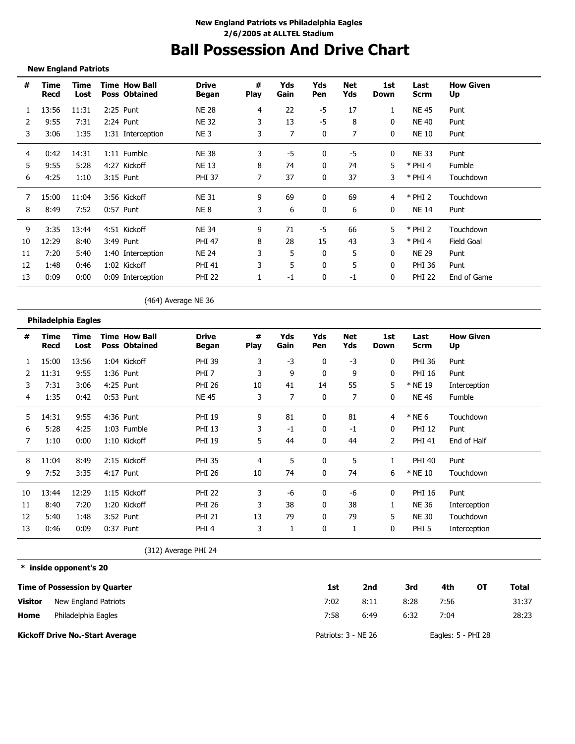# **Ball Possession And Drive Chart**

### **New England Patriots**

-----------------------------

| #  | Time<br>Recd | Time<br>Lost | <b>Time How Ball</b><br><b>Poss Obtained</b> | <b>Drive</b><br><b>Began</b> | #<br><b>Play</b> | Yds<br>Gain | Yds<br>Pen   | Net<br>Yds | 1st<br>Down  | Last<br><b>Scrm</b> | <b>How Given</b><br>Up |
|----|--------------|--------------|----------------------------------------------|------------------------------|------------------|-------------|--------------|------------|--------------|---------------------|------------------------|
|    | 13:56        | 11:31        | 2:25 Punt                                    | <b>NE 28</b>                 | 4                | 22          | -5           | 17         |              | NE 45               | Punt                   |
| 2  | 9:55         | 7:31         | 2:24 Punt                                    | <b>NE 32</b>                 | 3                | 13          | $-5$         | 8          | $\mathbf{0}$ | <b>NE 40</b>        | Punt                   |
| 3  | 3:06         | 1:35         | 1:31 Interception                            | NE <sub>3</sub>              | 3                | 7           | $\mathbf{0}$ | 7          | 0            | <b>NE 10</b>        | Punt                   |
| 4  | 0:42         | 14:31        | 1:11 Fumble                                  | <b>NE 38</b>                 | 3                | -5          | 0            | -5         | 0            | NE 33               | Punt                   |
| 5  | 9:55         | 5:28         | 4:27 Kickoff                                 | <b>NE 13</b>                 | 8                | 74          | 0            | 74         | 5            | $*$ PHI 4           | Fumble                 |
| 6  | 4:25         | 1:10         | 3:15 Punt                                    | <b>PHI 37</b>                |                  | 37          | $\mathbf{0}$ | 37         | 3            | $*$ PHI 4           | Touchdown              |
| 7  | 15:00        | 11:04        | 3:56 Kickoff                                 | <b>NE 31</b>                 | 9                | 69          | $\Omega$     | 69         | 4            | $*$ PHI 2           | Touchdown              |
| 8  | 8:49         | 7:52         | 0:57 Punt                                    | NE 8                         | 3                | 6           | 0            | 6          | 0            | <b>NE 14</b>        | Punt                   |
| 9  | 3:35         | 13:44        | 4:51 Kickoff                                 | NE 34                        | 9                | 71          | -5           | 66         | 5            | $*$ PHI 2           | Touchdown              |
| 10 | 12:29        | 8:40         | 3:49 Punt                                    | <b>PHI 47</b>                | 8                | 28          | 15           | 43         | 3            | $*$ PHI 4           | <b>Field Goal</b>      |
| 11 | 7:20         | 5:40         | 1:40 Interception                            | NE 24                        | 3                | 5           | 0            | 5          | 0            | <b>NE 29</b>        | Punt                   |
| 12 | 1:48         | 0:46         | 1:02 Kickoff                                 | PHI 41                       | 3                | 5           | 0            | 5          | $\mathbf{0}$ | PHI 36              | Punt                   |
| 13 | 0:09         | 0:00         | 0:09 Interception                            | <b>PHI 22</b>                |                  | $-1$        | 0            | $-1$       | $\mathbf{0}$ | <b>PHI 22</b>       | End of Game            |

(464) Average NE 36

|    | Philadelphia Eagles |              |                                              |                              |                  |             |              |                |             |                  |                        |
|----|---------------------|--------------|----------------------------------------------|------------------------------|------------------|-------------|--------------|----------------|-------------|------------------|------------------------|
| #  | Time<br>Recd        | Time<br>Lost | <b>Time How Ball</b><br><b>Poss Obtained</b> | <b>Drive</b><br><b>Began</b> | #<br><b>Play</b> | Yds<br>Gain | Yds<br>Pen   | Net<br>Yds     | 1st<br>Down | Last<br>Scrm     | <b>How Given</b><br>Up |
|    | 15:00               | 13:56        | 1:04 Kickoff                                 | <b>PHI 39</b>                | 3                | $-3$        | 0            | $-3$           | 0           | <b>PHI 36</b>    | Punt                   |
|    | 11:31               | 9:55         | 1:36 Punt                                    | PHI <sub>7</sub>             | 3                | 9           | 0            | 9              | 0           | <b>PHI 16</b>    | Punt                   |
| 3  | 7:31                | 3:06         | 4:25 Punt                                    | <b>PHI 26</b>                | 10               | 41          | 14           | 55             | 5           | * NE 19          | Interception           |
| 4  | 1:35                | 0:42         | 0:53 Punt                                    | <b>NE 45</b>                 | 3                |             | $\mathbf{0}$ | $\overline{7}$ | 0           | <b>NE 46</b>     | Fumble                 |
| 5  | 14:31               | 9:55         | 4:36 Punt                                    | <b>PHI 19</b>                | 9                | 81          | 0            | 81             | 4           | $*$ NE 6         | Touchdown              |
| 6  | 5:28                | 4:25         | 1:03 Fumble                                  | <b>PHI 13</b>                | 3                | $-1$        | 0            | $-1$           | 0           | <b>PHI 12</b>    | Punt                   |
| 7  | 1:10                | 0:00         | 1:10 Kickoff                                 | <b>PHI 19</b>                | 5                | 44          | 0            | 44             | 2           | <b>PHI 41</b>    | End of Half            |
| 8  | 11:04               | 8:49         | 2:15 Kickoff                                 | <b>PHI 35</b>                | 4                | 5           | 0            | 5              |             | <b>PHI 40</b>    | Punt                   |
| 9  | 7:52                | 3:35         | 4:17 Punt                                    | <b>PHI 26</b>                | 10               | 74          | 0            | 74             | 6           | * NE 10          | Touchdown              |
| 10 | 13:44               | 12:29        | 1:15 Kickoff                                 | <b>PHI 22</b>                | 3                | -6          | 0            | -6             | 0           | <b>PHI 16</b>    | Punt                   |
| 11 | 8:40                | 7:20         | 1:20 Kickoff                                 | <b>PHI 26</b>                | 3                | 38          | 0            | 38             | 1           | <b>NE 36</b>     | Interception           |
| 12 | 5:40                | 1:48         | 3:52 Punt                                    | <b>PHI 21</b>                | 13               | 79          | 0            | 79             | 5           | <b>NE 30</b>     | Touchdown              |
| 13 | 0:46                | 0:09         | 0:37 Punt                                    | PHI <sub>4</sub>             | 3                | 1           | 0            | 1              | 0           | PHI <sub>5</sub> | Interception           |

(312) Average PHI 24

**\* inside opponent's 20**

|                | <b>Time of Possession by Quarter</b>   | 1st                 | 2nd  | 3rd  | 4th                  | OТ | Total |
|----------------|----------------------------------------|---------------------|------|------|----------------------|----|-------|
| <b>Visitor</b> | New England Patriots                   | 7:02                | 8:11 | 8:28 | 7:56                 |    | 31:37 |
| Home           | Philadelphia Eagles                    | 7:58                | 6:49 | 6:32 | 7:04                 |    | 28:23 |
|                | <b>Kickoff Drive No.-Start Average</b> | Patriots: 3 - NE 26 |      |      | Eagles: $5 - PHI$ 28 |    |       |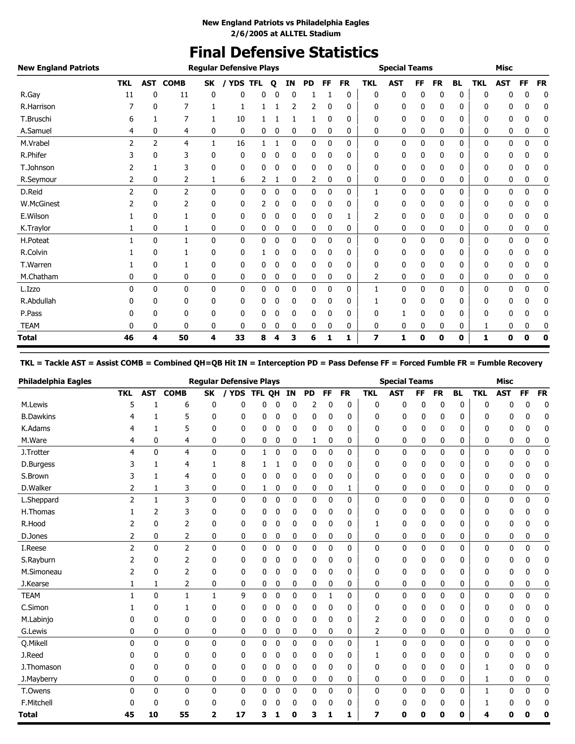# **Final Defensive Statistics**

| <b>New England Patriots</b> |               |              |                |              | <b>Regular Defensive Plays</b> |            |             |           |           |              |           |            | <b>Special Teams</b> |    |           |           |            | <b>Misc</b> |           |           |
|-----------------------------|---------------|--------------|----------------|--------------|--------------------------------|------------|-------------|-----------|-----------|--------------|-----------|------------|----------------------|----|-----------|-----------|------------|-------------|-----------|-----------|
|                             | <b>TKL</b>    | <b>AST</b>   | <b>COMB</b>    | <b>SK</b>    | / YDS                          | <b>TFL</b> | $\mathbf o$ | <b>IN</b> | <b>PD</b> | FF           | <b>FR</b> | <b>TKL</b> | <b>AST</b>           | FF | <b>FR</b> | <b>BL</b> | <b>TKL</b> | <b>AST</b>  | <b>FF</b> | <b>FR</b> |
| R.Gay                       | 11            | 0            | 11             | 0            | 0                              | 0          |             | 0         |           |              | 0         | 0          | 0                    | 0  | 0         | 0         | 0          | 0           | 0         | 0         |
| R.Harrison                  |               | 0            | 7              |              | 1                              |            |             | 2         | 2         | $\mathbf{0}$ | 0         | 0          | 0                    | 0  | 0         | 0         | 0          | 0           | 0         | 0         |
| T.Bruschi                   | 6             |              | 7              | 1            | 10                             |            |             |           |           | 0            | 0         | 0          | 0                    | 0  | 0         | 0         | 0          | 0           | 0         | 0         |
| A.Samuel                    | 4             | 0            | 4              | 0            | 0                              | 0          | 0           | 0         | 0         | 0            | 0         | 0          | 0                    | 0  | 0         | 0         | 0          | 0           | 0         | 0         |
| M.Vrabel                    | $\mathcal{P}$ | 2            | 4              | 1            | 16                             | 1          |             | 0         | 0         | 0            | 0         | 0          | 0                    | 0  | 0         | 0         | 0          | 0           | 0         | 0         |
| R.Phifer                    | 3             | 0            | 3              | 0            | 0                              | 0          | 0           | 0         | 0         | 0            | 0         | 0          | 0                    | 0  | 0         | 0         | 0          | 0           | 0         | 0         |
| T.Johnson                   |               |              | 3              | 0            | 0                              | 0          | 0           | 0         | 0         | 0            | 0         | 0          | 0                    | 0  | 0         | 0         | 0          | 0           | 0         | 0         |
| R.Seymour                   | 2             | 0            | 2              | 1            | 6                              | 2          | 1           | 0         | 2         | 0            | 0         | 0          | 0                    | 0  | 0         | 0         | 0          | 0           | 0         | 0         |
| D.Reid                      | 2             | 0            | $\overline{2}$ | 0            | 0                              | 0          | 0           | 0         | 0         | 0            | 0         | 1          | 0                    | 0  | 0         | 0         | 0          | 0           | 0         | 0         |
| W.McGinest                  |               | 0            | 2              | 0            | 0                              | 2          | 0           | 0         | 0         | 0            | 0         | 0          | 0                    | 0  | 0         | 0         | 0          | 0           | 0         | 0         |
| E.Wilson                    |               | 0            | 1              | 0            | 0                              | 0          | 0           | 0         | 0         | 0            |           | 2          | 0                    | 0  | 0         | 0         | 0          | 0           | 0         | 0         |
| K.Traylor                   |               | 0            | 1              | 0            | 0                              | 0          | 0           | 0         | 0         | 0            | 0         | 0          | 0                    | 0  | 0         | 0         | 0          | 0           | 0         | 0         |
| H.Poteat                    |               | 0            | $\mathbf{1}$   | 0            | 0                              | 0          | 0           | 0         | 0         | 0            | 0         | 0          | 0                    | 0  | 0         | 0         | 0          | 0           | 0         | 0         |
| R.Colvin                    |               | 0            |                | 0            | 0                              |            | 0           | 0         | 0         | 0            | 0         | 0          | 0                    | 0  | 0         | 0         | 0          | 0           | 0         | 0         |
| T.Warren                    |               | 0            | 1              | 0            | 0                              | 0          | 0           | 0         | 0         | 0            | 0         | 0          | 0                    | 0  | 0         | 0         | 0          | 0           | 0         | 0         |
| M.Chatham                   | 0             | 0            | 0              | 0            | 0                              | 0          | 0           | 0         | 0         | 0            | 0         | 2          | 0                    | 0  | 0         | 0         | 0          | 0           | 0         | 0         |
| L.Izzo                      | 0             | $\mathbf{0}$ | 0              | $\mathbf{0}$ | 0                              | 0          | 0           | 0         | 0         | 0            | 0         | 1          | 0                    | 0  | 0         | 0         | 0          | 0           | 0         | 0         |
| R.Abdullah                  | 0             | 0            | 0              | 0            | 0                              | 0          | 0           | 0         | 0         | 0            | 0         |            | 0                    | 0  | 0         | 0         | 0          | 0           | 0         | 0         |
| P.Pass                      |               | 0            | 0              | 0            | 0                              | 0          |             | 0         | 0         | 0            | 0         | 0          | 1                    | 0  | 0         | 0         | 0          | 0           | 0         | 0         |
| <b>TEAM</b>                 | 0             | 0            | 0              | 0            | 0                              | 0          | 0           | 0         | 0         | 0            | 0         | 0          | 0                    | 0  | 0         | 0         | 1          | 0           | 0         | 0         |
| <b>Total</b>                | 46            | 4            | 50             | 4            | 33                             | 8          | 4           | 3         | 6         | 1            | 1         | 7          | 1                    | 0  | 0         | 0         | 1          | 0           | 0         | 0         |

### **TKL = Tackle AST = Assist COMB = Combined QH=QB Hit IN = Interception PD = Pass Defense FF = Forced Fumble FR = Fumble Recovery**

| <b>Philadelphia Eagles</b> |                |              |                |              | <b>Regular Defensive Plays</b> |            |              |              |             |    |              |              | <b>Special Teams</b> |           |           |           |            | <b>Misc</b> |    |             |
|----------------------------|----------------|--------------|----------------|--------------|--------------------------------|------------|--------------|--------------|-------------|----|--------------|--------------|----------------------|-----------|-----------|-----------|------------|-------------|----|-------------|
|                            | <b>TKL</b>     | <b>AST</b>   | <b>COMB</b>    | <b>SK</b>    | <b>YDS</b>                     | <b>TFL</b> | <b>OH</b>    | IN           | <b>PD</b>   | FF | <b>FR</b>    | <b>TKL</b>   | <b>AST</b>           | <b>FF</b> | <b>FR</b> | <b>BL</b> | <b>TKL</b> | <b>AST</b>  | FF | <b>FR</b>   |
| M.Lewis                    | 5              |              | 6              | 0            | 0                              | 0          | 0            | 0            | 2           | 0  | 0            | 0            | 0                    | 0         | 0         | 0         | 0          | 0           | 0  | 0           |
| <b>B.Dawkins</b>           |                |              | 5              | 0            | 0                              | 0          | 0            | 0            | 0           | 0  | 0            | 0            | 0                    | 0         | 0         | 0         | 0          | 0           | O  | 0           |
| K.Adams                    | 4              | 1            | 5              | 0            | 0                              | 0          | 0            | 0            | 0           | 0  | 0            | 0            | 0                    | 0         | 0         | 0         | 0          | 0           | 0  | 0           |
| M.Ware                     | 4              | 0            | 4              | 0            | 0                              | 0          | 0            | 0            | 1           | 0  | 0            | 0            | 0                    | 0         | 0         | 0         | 0          | 0           | 0  | 0           |
| J.Trotter                  | 4              | 0            | $\overline{4}$ | 0            | 0                              | 1          | 0            | $\mathbf{0}$ | 0           | 0  | $\mathbf{0}$ | $\mathbf 0$  | 0                    | 0         | 0         | 0         | 0          | 0           | 0  | 0           |
| D.Burgess                  | 3              | 1            | 4              | 1            | 8                              | 1          | 1            | 0            | 0           | 0  | 0            | 0            | 0                    | 0         | 0         | 0         | 0          | 0           | 0  | 0           |
| S.Brown                    | 3              | 1            | 4              | 0            | 0                              | 0          | 0            | 0            | 0           | 0  | 0            | 0            | 0                    | 0         | 0         | 0         | 0          | 0           | 0  | 0           |
| D.Walker                   | 2              | 1            | 3              | 0            | 0                              | 1          | 0            | 0            | 0           | 0  | 1            | $\mathbf 0$  | 0                    | 0         | 0         | 0         | 0          | 0           | 0  | 0           |
| L.Sheppard                 | $\overline{2}$ | 1            | 3              | 0            | 0                              | 0          | $\mathbf{0}$ | 0            | 0           | 0  | 0            | $\mathbf 0$  | 0                    | 0         | 0         | 0         | 0          | 0           | 0  | $\mathbf 0$ |
| H.Thomas                   |                | 2            | 3              | 0            | 0                              | 0          | 0            | 0            | 0           | 0  | 0            | 0            | 0                    | 0         | 0         | 0         | 0          | 0           | 0  | 0           |
| R.Hood                     | 2              | 0            | 2              | 0            | 0                              | 0          | 0            | 0            | 0           | 0  | 0            | 1            | 0                    | 0         | 0         | 0         | 0          | 0           | 0  | 0           |
| D.Jones                    | 2              | 0            | 2              | 0            | 0                              | 0          | 0            | 0            | 0           | 0  | 0            | 0            | 0                    | 0         | 0         | 0         | 0          | 0           | 0  | 0           |
| I.Reese                    | $\overline{2}$ | $\mathbf{0}$ | $\overline{2}$ | 0            | $\mathbf 0$                    | 0          | $\mathbf{0}$ | 0            | $\mathbf 0$ | 0  | 0            | $\mathbf{0}$ | 0                    | 0         | 0         | 0         | 0          | 0           | 0  | $\mathbf 0$ |
| S.Rayburn                  | 2              | 0            | 2              | 0            | 0                              | 0          | 0            | 0            | 0           | 0  | 0            | 0            | 0                    | 0         | 0         | 0         | 0          | 0           | 0  | 0           |
| M.Simoneau                 | 2              | 0            | 2              | 0            | 0                              | 0          | 0            | 0            | 0           | 0  | 0            | 0            | 0                    | 0         | 0         | 0         | 0          | 0           | 0  | 0           |
| J.Kearse                   | 1              | 1            | 2              | 0            | 0                              | 0          | 0            | 0            | 0           | 0  | 0            | 0            | 0                    | 0         | 0         | 0         | 0          | 0           | 0  | 0           |
| <b>TEAM</b>                |                | 0            | $\mathbf{1}$   | $\mathbf{1}$ | 9                              | 0          | $\bf{0}$     | 0            | 0           | 1  | 0            | $\mathbf 0$  | 0                    | 0         | 0         | 0         | 0          | 0           | 0  | $\mathbf 0$ |
| C.Simon                    |                | 0            | 1              | 0            | 0                              | 0          | 0            | 0            | 0           | 0  | 0            | 0            | 0                    | 0         | 0         | 0         | 0          | 0           | 0  | 0           |
| M.Labinjo                  | 0              | 0            | 0              | 0            | 0                              | 0          | 0            | 0            | 0           | 0  | 0            | 2            | 0                    | 0         | 0         | 0         | 0          | 0           | 0  | 0           |
| G.Lewis                    | 0              | 0            | 0              | 0            | 0                              | 0          | 0            | 0            | 0           | 0  | 0            | 2            | 0                    | 0         | 0         | 0         | 0          | 0           | 0  | 0           |
| Q.Mikell                   | 0              | 0            | $\mathbf 0$    | 0            | $\mathbf 0$                    | 0          | $\mathbf 0$  | 0            | 0           | 0  | 0            | $\mathbf{1}$ | 0                    | 0         | 0         | 0         | 0          | 0           | 0  | $\mathbf 0$ |
| J.Reed                     | 0              | 0            | 0              | 0            | 0                              | 0          | 0            | 0            | 0           | 0  | 0            | 1            | 0                    | 0         | 0         | 0         | 0          | 0           | 0  | 0           |
| J.Thomason                 | n              | 0            | 0              | 0            | 0                              | 0          | 0            | 0            | 0           | 0  | 0            | 0            | 0                    | 0         | 0         | 0         |            | 0           | 0  | 0           |
| J.Mayberry                 | 0              | 0            | 0              | 0            | 0                              | 0          | 0            | 0            | 0           | 0  | 0            | 0            | 0                    | 0         | 0         | 0         | 1          | 0           | 0  | 0           |
| T.Owens                    | 0              | 0            | $\mathbf 0$    | 0            | 0                              | 0          | $\mathbf 0$  | 0            | 0           | 0  | 0            | $\mathbf 0$  | 0                    | 0         | 0         | 0         | 1          | 0           | 0  | $\mathbf 0$ |
| F.Mitchell                 | 0              | 0            | 0              | 0            | 0                              | 0          | 0            | 0            | 0           | 0  | 0            | 0            | 0                    | 0         | 0         | 0         |            | 0           | 0  | 0           |
| <b>Total</b>               | 45             | 10           | 55             | 2            | 17                             | 3          |              | O            | 3           | 1  | 1            | 7            | 0                    | U         | 0         | 0         |            | n           |    | ſ           |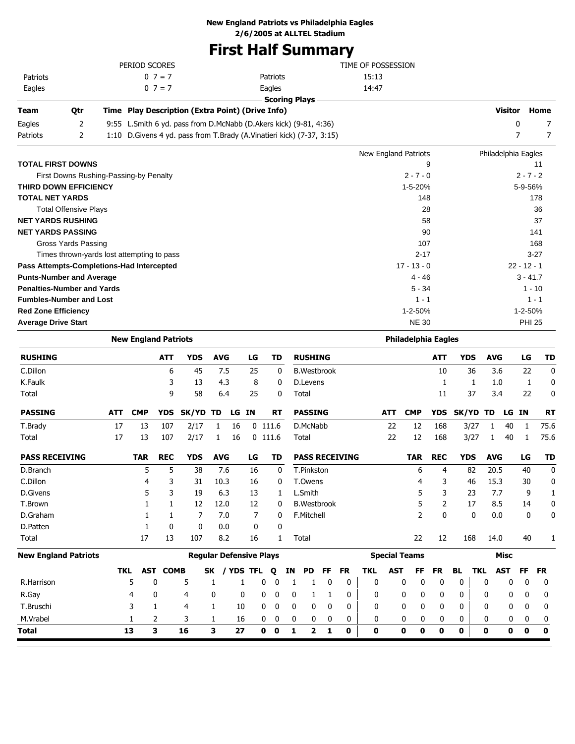# **New England Patriots vs Philadelphia Eagles**

**2/6/2005 at ALLTEL Stadium**

# **First Half Summary**

|                                            |     | PERIOD SCORES               |                 |                                                                          |                                |       |           |          |    |                       |    |           | TIME OF POSSESSION |            |                            |            |                         |                     |                |               |                |
|--------------------------------------------|-----|-----------------------------|-----------------|--------------------------------------------------------------------------|--------------------------------|-------|-----------|----------|----|-----------------------|----|-----------|--------------------|------------|----------------------------|------------|-------------------------|---------------------|----------------|---------------|----------------|
| Patriots                                   |     |                             | $0 \t7 = 7$     |                                                                          |                                |       |           | Patriots |    |                       |    |           | 15:13              |            |                            |            |                         |                     |                |               |                |
| Eagles                                     |     |                             | $0 \ 7 = 7$     |                                                                          |                                |       |           | Eagles   |    |                       |    |           | 14:47              |            |                            |            |                         |                     |                |               |                |
|                                            |     |                             |                 |                                                                          |                                |       |           |          |    | <b>Scoring Plays</b>  |    |           |                    |            |                            |            |                         |                     |                |               |                |
| Team<br>Qtr                                |     |                             |                 | Time Play Description (Extra Point) (Drive Info)                         |                                |       |           |          |    |                       |    |           |                    |            |                            |            |                         |                     | <b>Visitor</b> |               | Home           |
| 2<br>Eagles                                |     |                             |                 | 9:55 L.Smith 6 yd. pass from D.McNabb (D.Akers kick) (9-81, 4:36)        |                                |       |           |          |    |                       |    |           |                    |            |                            |            |                         |                     | 0              |               | 7              |
| 2<br>Patriots                              |     |                             |                 | 1:10 D. Givens 4 yd. pass from T. Brady (A. Vinatieri kick) (7-37, 3:15) |                                |       |           |          |    |                       |    |           |                    |            |                            |            |                         |                     | $\overline{7}$ |               | $\overline{7}$ |
|                                            |     |                             |                 |                                                                          |                                |       |           |          |    |                       |    |           |                    |            | New England Patriots       |            |                         | Philadelphia Eagles |                |               |                |
| <b>TOTAL FIRST DOWNS</b>                   |     |                             |                 |                                                                          |                                |       |           |          |    |                       |    |           |                    |            |                            | 9          |                         |                     |                |               | 11             |
| First Downs Rushing-Passing-by Penalty     |     |                             |                 |                                                                          |                                |       |           |          |    |                       |    |           |                    |            | $2 - 7 - 0$                |            |                         |                     |                | $2 - 7 - 2$   |                |
| <b>THIRD DOWN EFFICIENCY</b>               |     |                             |                 |                                                                          |                                |       |           |          |    |                       |    |           |                    |            | 1-5-20%                    |            |                         |                     |                | 5-9-56%       |                |
| <b>TOTAL NET YARDS</b>                     |     |                             |                 |                                                                          |                                |       |           |          |    |                       |    |           |                    |            | 148                        |            |                         |                     |                |               | 178            |
| <b>Total Offensive Plays</b>               |     |                             |                 |                                                                          |                                |       |           |          |    |                       |    |           |                    |            |                            | 28         |                         |                     |                |               | 36             |
| <b>NET YARDS RUSHING</b>                   |     |                             |                 |                                                                          |                                |       |           |          |    |                       |    |           |                    |            |                            | 58         |                         |                     |                |               | 37             |
| <b>NET YARDS PASSING</b>                   |     |                             |                 |                                                                          |                                |       |           |          |    |                       |    |           |                    |            |                            | 90         |                         |                     |                |               | 141            |
| Gross Yards Passing                        |     |                             |                 |                                                                          |                                |       |           |          |    |                       |    |           |                    |            | 107                        |            |                         |                     |                |               | 168            |
| Times thrown-yards lost attempting to pass |     |                             |                 |                                                                          |                                |       |           |          |    |                       |    |           |                    |            | $2 - 17$                   |            |                         |                     |                | $3-27$        |                |
| Pass Attempts-Completions-Had Intercepted  |     |                             |                 |                                                                          |                                |       |           |          |    |                       |    |           |                    |            | $17 - 13 - 0$              |            |                         |                     | $22 - 12 - 1$  |               |                |
| <b>Punts-Number and Average</b>            |     |                             |                 |                                                                          |                                |       |           |          |    |                       |    |           |                    |            | 4 - 46                     |            |                         |                     |                | $3 - 41.7$    |                |
| <b>Penalties-Number and Yards</b>          |     |                             |                 |                                                                          |                                |       |           |          |    |                       |    |           |                    |            | $5 - 34$                   |            |                         |                     |                | $1 - 10$      |                |
| <b>Fumbles-Number and Lost</b>             |     |                             |                 |                                                                          |                                |       |           |          |    |                       |    |           |                    |            | $1 - 1$                    |            |                         |                     |                | $1 - 1$       |                |
| <b>Red Zone Efficiency</b>                 |     |                             |                 |                                                                          |                                |       |           |          |    |                       |    |           |                    |            | 1-2-50%                    |            |                         |                     |                | 1-2-50%       |                |
| <b>Average Drive Start</b>                 |     |                             |                 |                                                                          |                                |       |           |          |    |                       |    |           |                    |            | <b>NE 30</b>               |            |                         |                     |                | <b>PHI 25</b> |                |
|                                            |     | <b>New England Patriots</b> |                 |                                                                          |                                |       |           |          |    |                       |    |           |                    |            | <b>Philadelphia Eagles</b> |            |                         |                     |                |               |                |
| <b>RUSHING</b>                             |     |                             | ATT             | <b>YDS</b>                                                               | <b>AVG</b>                     |       | LG        | TD       |    | <b>RUSHING</b>        |    |           |                    |            |                            | ATT        | <b>YDS</b>              | <b>AVG</b>          |                | LG            | TD             |
| C.Dillon                                   |     |                             | 6               | 45                                                                       | 7.5                            |       | 25        | 0        |    | <b>B.Westbrook</b>    |    |           |                    |            |                            | 10         | 36                      | 3.6                 |                | 22            | 0              |
| K.Faulk                                    |     |                             | 3               | 13                                                                       | 4.3                            |       | 8         | 0        |    | D.Levens              |    |           |                    |            |                            | 1          | 1                       | 1.0                 |                | 1             | 0              |
| Total                                      |     |                             | 9               | 58                                                                       | 6.4                            |       | 25        | 0        |    | Total                 |    |           |                    |            |                            | 11         | 37                      | 3.4                 |                | 22            | 0              |
| <b>PASSING</b>                             | ATT | <b>CMP</b>                  | <b>YDS</b>      | <b>SK/YD</b>                                                             | TD                             | LG IN |           | RT       |    | <b>PASSING</b>        |    |           |                    | ATT        | <b>CMP</b>                 | <b>YDS</b> | <b>SK/YD</b>            | TD                  | LG IN          |               | RT             |
| T.Brady                                    | 17  | 13                          | 107             | 2/17                                                                     | 1                              | 16    | $0$ 111.6 |          |    | D.McNabb              |    |           |                    | 22         | 12                         | 168        | 3/27                    | 1                   | 40             | 1             | 75.6           |
| Total                                      | 17  | 13                          | 107             | 2/17                                                                     | 1                              | 16    | $0$ 111.6 |          |    | Total                 |    |           |                    | 22         | 12                         | 168        | 3/27                    | $\mathbf{1}$        | 40             | 1             | 75.6           |
|                                            |     |                             |                 |                                                                          |                                |       |           |          |    |                       |    |           |                    |            |                            |            |                         |                     |                |               |                |
| <b>PASS RECEIVING</b>                      |     | <b>TAR</b>                  | <b>REC</b>      | <b>YDS</b>                                                               | <b>AVG</b>                     |       | LG        | TD       |    | <b>PASS RECEIVING</b> |    |           |                    |            | <b>TAR</b>                 | <b>REC</b> | <b>YDS</b>              | <b>AVG</b>          |                | LG            | TD             |
| D.Branch                                   |     | 5                           | 5               | 38                                                                       | 7.6                            |       | 16        | 0        |    | T.Pinkston            |    |           |                    |            | 6                          | 4          | 82                      | 20.5                |                | 40            | 0              |
| C.Dillon                                   |     | 4                           | 3               | 31                                                                       | 10.3                           |       | 16        | 0        |    | T.Owens               |    |           |                    |            | 4                          | 3          | 46                      | 15.3                |                | 30            | 0              |
| D.Givens                                   |     | 5                           | 3               | 19                                                                       | 6.3                            |       | 13        | 1        |    | L.Smith               |    |           |                    |            | 5                          | 3          | 23                      | 7.7                 |                | 9             | 1              |
| T.Brown                                    |     | 1                           | 1               | 12                                                                       | 12.0                           |       | 12        | 0        |    | <b>B.Westbrook</b>    |    |           |                    |            | 5                          | 2          | 17                      | 8.5                 |                | 14            | 0              |
| D.Graham                                   |     | 1                           | 1               | 7                                                                        | 7.0                            |       | 7         | 0        |    | F.Mitchell            |    |           |                    |            | 2                          | 0          | 0                       | 0.0                 |                | 0             | 0              |
| D.Patten                                   |     | 1                           | 0               | 0                                                                        | 0.0                            |       | 0         | 0        |    |                       |    |           |                    |            |                            |            |                         |                     |                |               |                |
| Total                                      |     | 17                          | 13              | 107                                                                      | 8.2                            |       | 16        | 1        |    | Total                 |    |           |                    |            | 22                         | 12         | 168                     | 14.0                |                | 40            |                |
| <b>New England Patriots</b>                |     |                             |                 |                                                                          | <b>Regular Defensive Plays</b> |       |           |          |    |                       |    |           |                    |            | <b>Special Teams</b>       |            |                         |                     | <b>Misc</b>    |               |                |
|                                            | TKL |                             | <b>AST COMB</b> |                                                                          | SK / YDS TFL Q                 |       |           |          | ΙN | <b>PD</b>             | FF | <b>FR</b> | <b>TKL</b>         | <b>AST</b> | FF                         | <b>FR</b>  | <b>TKL</b><br><b>BL</b> |                     | <b>AST</b>     | <b>FF</b>     | <b>FR</b>      |
| R.Harrison                                 |     | 5                           | 0               | 5                                                                        | 1                              | 1     | 0         | 0        | 1  | 1                     | 0  | 0         | 0                  |            | 0<br>0                     | 0          | 0                       | 0                   | 0              | $\mathbf 0$   | 0              |
| R.Gay                                      |     | 4                           | 0               | 4                                                                        | 0                              | 0     | 0         | 0        | 0  | 1                     | 1  | 0         | 0                  |            | 0<br>0                     | 0          | 0                       | 0                   | 0              | 0             | 0              |
| T.Bruschi                                  |     | 3                           | 1               | 4                                                                        | 1                              | 10    | 0         | 0        | 0  | 0                     | 0  | 0         | 0                  |            | 0<br>0                     | 0          | 0                       | 0                   | 0              | 0             | 0              |
| M.Vrabel                                   |     | 1                           | 2               | 3                                                                        | 1                              | 16    | 0         | 0        | 0  | 0                     |    | 0         | 0                  |            | 0<br>0                     | 0          | 0                       | 0                   | 0              | 0             | 0              |
|                                            |     |                             |                 |                                                                          |                                |       |           |          |    |                       | 0  |           |                    |            |                            |            |                         |                     |                |               |                |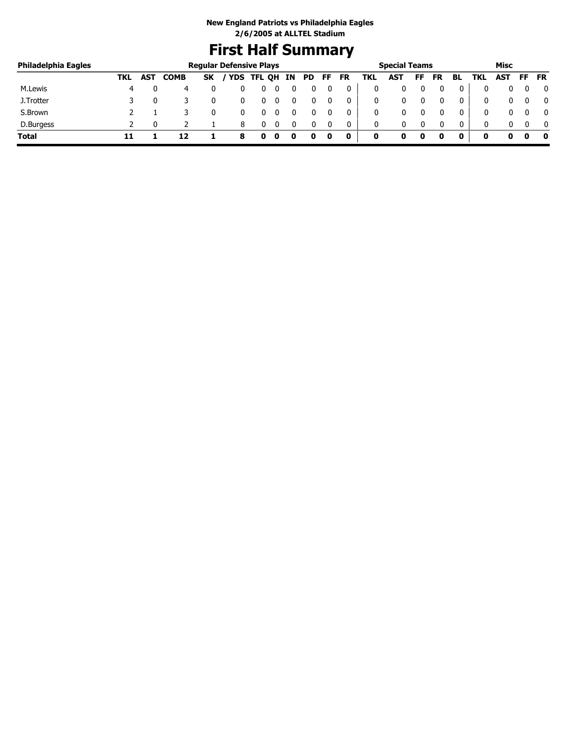# **First Half Summary**

| Philadelphia Eagles |     |            |             | <b>Regular Defensive Plays</b> |            |        |    |           |    |    |     | <b>Special Teams</b> |    |           |              |            | Misc       |    |              |
|---------------------|-----|------------|-------------|--------------------------------|------------|--------|----|-----------|----|----|-----|----------------------|----|-----------|--------------|------------|------------|----|--------------|
|                     | TKL | <b>AST</b> | <b>COMB</b> | <b>SK</b>                      | <b>YDS</b> | TFL QH | ΙN | <b>PD</b> | FF | FR | TKL | <b>AST</b>           | FF | <b>FR</b> | BL           | <b>TKL</b> | <b>AST</b> | FF | <b>FR</b>    |
| M.Lewis             | 4   |            | 4           |                                |            |        |    |           |    |    |     |                      |    |           | 0            |            |            |    | $\Omega$     |
| J.Trotter           |     |            |             |                                |            |        |    |           |    | 0  |     | 0                    |    |           | 0            |            |            |    | $\mathbf{0}$ |
| S.Brown             |     |            |             |                                |            |        |    |           |    |    |     | 0                    |    |           | 0            |            |            |    | 0            |
| D.Burgess           |     |            |             |                                | 8          |        |    |           |    |    |     | 0                    |    |           | $\mathbf{0}$ |            |            |    | $\Omega$     |
| Total               |     |            | 17          |                                | о          |        |    |           |    | 0  | 0   |                      | 0  |           | 0            |            |            |    | - 0          |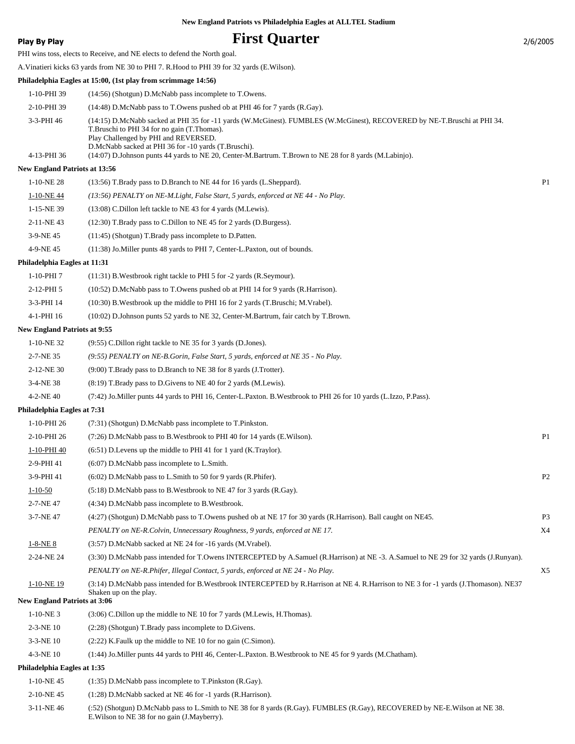# **Play By Play Play Play Play By Play First Quarter** 2/6/2005

PHI wins toss, elects to Receive, and NE elects to defend the North goal.

A.Vinatieri kicks 63 yards from NE 30 to PHI 7. R.Hood to PHI 39 for 32 yards (E.Wilson).

#### **Philadelphia Eagles at 15:00, (1st play from scrimmage 14:56)**

| 1-10-PHI 39 | $(14:56)$ (Shotgun) D.McNabb pass incomplete to T.Owens.                                                                                                                                                                                                                  |
|-------------|---------------------------------------------------------------------------------------------------------------------------------------------------------------------------------------------------------------------------------------------------------------------------|
| 2-10-PHI 39 | $(14:48)$ D.McNabb pass to T.Owens pushed ob at PHI 46 for 7 yards (R.Gay).                                                                                                                                                                                               |
| 3-3-PHI 46  | (14:15) D.McNabb sacked at PHI 35 for -11 yards (W.McGinest). FUMBLES (W.McGinest), RECOVERED by NE-T.Bruschi at PHI 34.<br>T. Bruschi to PHI 34 for no gain (T. Thomas).<br>Play Challenged by PHI and REVERSED.<br>D.McNabb sacked at PHI 36 for -10 yards (T.Bruschi). |
| 4-13-PHI 36 | (14:07) D.Johnson punts 44 yards to NE 20, Center-M.Bartrum. T.Brown to NE 28 for 8 yards (M.Labinjo).                                                                                                                                                                    |

#### **New England Patriots at 13:56**

| 1-10-NE 28 | $(13:56)$ T.Brady pass to D.Branch to NE 44 for 16 yards (L.Sheppard).               | P <sub>1</sub> |
|------------|--------------------------------------------------------------------------------------|----------------|
| 1-10-NE44  | $(13.56)$ PENALTY on NE-M. Light, False Start, 5 yards, enforced at NE 44 - No Play. |                |
| 1-15-NE 39 | $(13:08)$ C.Dillon left tackle to NE 43 for 4 yards (M.Lewis).                       |                |
| 2-11-NE43  | $(12:30)$ T.Brady pass to C.Dillon to NE 45 for 2 yards (D.Burgess).                 |                |
| 3-9-NE45   | $(11:45)$ (Shotgun) T.Brady pass incomplete to D.Patten.                             |                |
| 4-9-NE45   | (11:38) Jo. Miller punts 48 yards to PHI 7, Center-L. Paxton, out of bounds.         |                |

#### **Philadelphia Eagles at 11:31**

| 1-10-PHI 7 | $(11:31)$ B. Westbrook right tackle to PHI 5 for -2 yards (R. Seymour). |
|------------|-------------------------------------------------------------------------|
|------------|-------------------------------------------------------------------------|

- 2-12-PHI 5 (10:52) D.McNabb pass to T.Owens pushed ob at PHI 14 for 9 yards (R.Harrison).
- 3-3-PHI 14 (10:30) B.Westbrook up the middle to PHI 16 for 2 yards (T.Bruschi; M.Vrabel).
- 4-1-PHI 16 (10:02) D.Johnson punts 52 yards to NE 32, Center-M.Bartrum, fair catch by T.Brown.

#### **New England Patriots at 9:55**

| 1-10-NE32       | (9:55) C. Dillon right tackle to NE 35 for 3 yards (D. Jones).                                                        |
|-----------------|-----------------------------------------------------------------------------------------------------------------------|
| 2-7-NE 35       | $(9.55)$ PENALTY on NE-B. Gorin, False Start, 5 yards, enforced at NE 35 - No Play.                                   |
| $2-12-NE$ 30    | (9:00) T.Brady pass to D.Branch to NE 38 for 8 yards (J.Trotter).                                                     |
| $3-4-NE$ 38     | $(8.19)$ T.Brady pass to D.Givens to NE 40 for 2 yards (M.Lewis).                                                     |
| $4 - 2 - NE$ 40 | (7:42) Jo. Miller punts 44 yards to PHI 16, Center-L. Paxton. B. Westbrook to PHI 26 for 10 yards (L. Izzo, P. Pass). |

#### **Philadelphia Eagles at 7:31**

| 1-10-PHI 26                         | (7:31) (Shotgun) D.McNabb pass incomplete to T.Pinkston.                                                                                                      |                |
|-------------------------------------|---------------------------------------------------------------------------------------------------------------------------------------------------------------|----------------|
| 2-10-PHI 26                         | (7:26) D.McNabb pass to B.Westbrook to PHI 40 for 14 yards (E.Wilson).                                                                                        | P <sub>1</sub> |
| 1-10-PHI 40                         | $(6:51)$ D. Levens up the middle to PHI 41 for 1 yard $(K.Travlor)$ .                                                                                         |                |
| 2-9-PHI 41                          | $(6:07)$ D.McNabb pass incomplete to L.Smith.                                                                                                                 |                |
| 3-9-PHI 41                          | $(6:02)$ D.McNabb pass to L.Smith to 50 for 9 yards $(R.Phifer)$ .                                                                                            | P <sub>2</sub> |
| $1 - 10 - 50$                       | $(5.18)$ D.McNabb pass to B.Westbrook to NE 47 for 3 yards $(R.Gay)$ .                                                                                        |                |
| 2-7-NE47                            | (4:34) D.McNabb pass incomplete to B.Westbrook.                                                                                                               |                |
| 3-7-NE47                            | (4:27) (Shotgun) D.McNabb pass to T.Owens pushed ob at NE 17 for 30 yards (R.Harrison). Ball caught on NE45.                                                  | P <sub>3</sub> |
|                                     | PENALTY on NE-R. Colvin, Unnecessary Roughness, 9 yards, enforced at NE 17.                                                                                   | X4             |
| $1-8-NE8$                           | (3:57) D.McNabb sacked at NE 24 for -16 yards (M.Vrabel).                                                                                                     |                |
| 2-24-NE 24                          | (3:30) D.McNabb pass intended for T.Owens INTERCEPTED by A.Samuel (R.Harrison) at NE -3. A.Samuel to NE 29 for 32 yards (J.Runyan).                           |                |
|                                     | PENALTY on NE-R.Phifer, Illegal Contact, 5 yards, enforced at NE 24 - No Play.                                                                                | X5             |
| 1-10-NE 19                          | (3:14) D.McNabb pass intended for B.Westbrook INTERCEPTED by R.Harrison at NE 4. R.Harrison to NE 3 for -1 yards (J.Thomason). NE37<br>Shaken up on the play. |                |
| <b>New England Patriots at 3:06</b> |                                                                                                                                                               |                |
| $1.10$ ME 2                         | $(2.00)$ C D <sup>(11</sup> $\ldots$ 4 $\ldots$ 4 $\ldots$ 141 $\ldots$ ME 10 $\ell$ $\ldots$ 7 $\ldots$ 4 $\ldots$ (MT $\ldots$ . II TL $\ldots$ )           |                |

- 1-10-NE 3 (3:06) C.Dillon up the middle to NE 10 for 7 yards (M.Lewis, H.Thomas).
- 2-3-NE 10 (2:28) (Shotgun) T.Brady pass incomplete to D.Givens.
- 3-3-NE 10 (2:22) K.Faulk up the middle to NE 10 for no gain (C.Simon).
- 4-3-NE 10 (1:44) Jo.Miller punts 44 yards to PHI 46, Center-L.Paxton. B.Westbrook to NE 45 for 9 yards (M.Chatham).

#### **Philadelphia Eagles at 1:35**

- 1-10-NE 45 (1:35) D.McNabb pass incomplete to T.Pinkston (R.Gay).
- 2-10-NE 45 (1:28) D.McNabb sacked at NE 46 for -1 yards (R.Harrison).
- (:52) (Shotgun) D.McNabb pass to L.Smith to NE 38 for 8 yards (R.Gay). FUMBLES (R.Gay), RECOVERED by NE-E.Wilson at NE 38. E.Wilson to NE 38 for no gain (J.Mayberry). 3-11-NE 46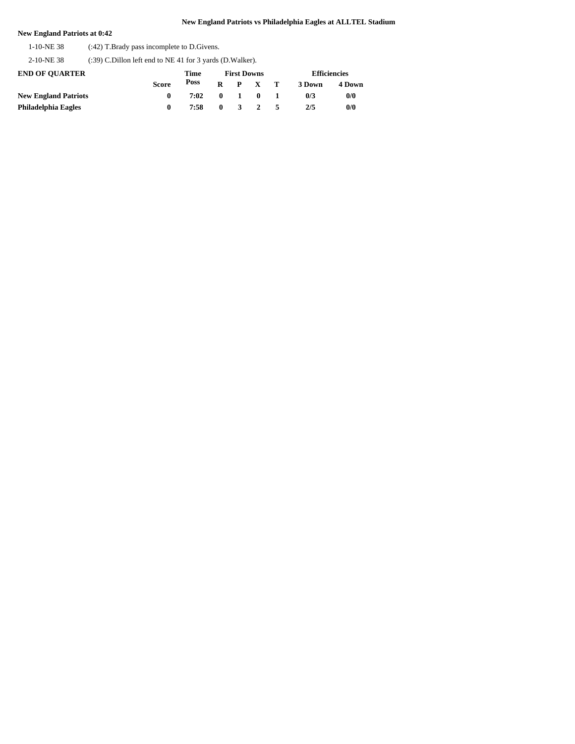### **New England Patriots at 0:42**

1-10-NE 38 (:42) T.Brady pass incomplete to D.Givens.

2-10-NE 38 (:39) C.Dillon left end to NE 41 for 3 yards (D.Walker).

| <b>END OF OUARTER</b>       |       | Time |  |  |                     | <b>Efficiencies</b> |        |
|-----------------------------|-------|------|--|--|---------------------|---------------------|--------|
|                             | Score | Poss |  |  | $R$ $P$ $X$ $T$     | 3 Down              | 4 Down |
| <b>New England Patriots</b> |       | 7:02 |  |  | $0 \quad 1 \quad 0$ | 0/3                 | 0/0    |
| Philadelphia Eagles         |       | 7:58 |  |  | $0 \t3 \t2$         | 2/5                 | 0/0    |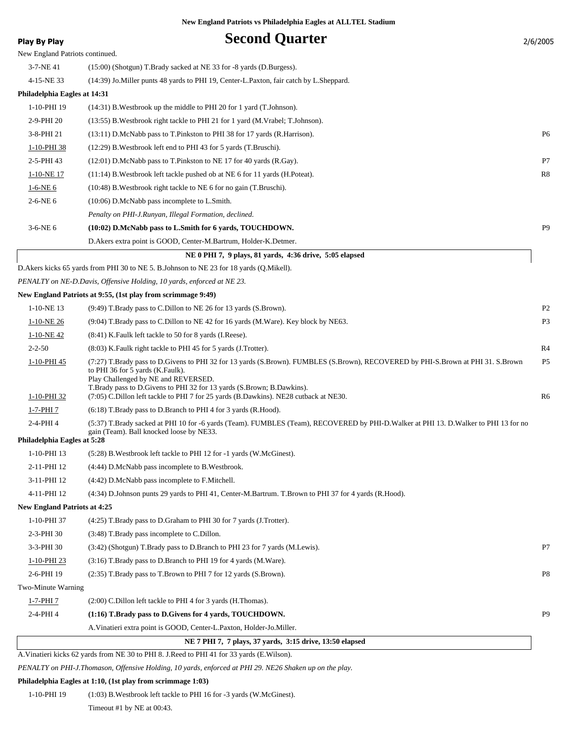# **Play By Play Play Play Second Quarter** 2/6/2005 New England Patriots continued. 3-7-NE 41 (15:00) (Shotgun) T.Brady sacked at NE 33 for -8 yards (D.Burgess). 4-15-NE 33 (14:39) Jo.Miller punts 48 yards to PHI 19, Center-L.Paxton, fair catch by L.Sheppard. **Philadelphia Eagles at 14:31** 1-10-PHI 19 (14:31) B.Westbrook up the middle to PHI 20 for 1 yard (T.Johnson). 2-9-PHI 20 (13:55) B.Westbrook right tackle to PHI 21 for 1 yard (M.Vrabel; T.Johnson). 3-8-PHI 21 (13:11) D.McNabb pass to T.Pinkston to PHI 38 for 17 yards (R.Harrison). P6 1-10-PHI 38 (12:29) B.Westbrook left end to PHI 43 for 5 yards (T.Bruschi). 2-5-PHI 43 (12:01) D.McNabb pass to T.Pinkston to NE 17 for 40 yards (R.Gay). P7 1-10-NE 17 (11:14) B.Westbrook left tackle pushed ob at NE 6 for 11 yards (H.Poteat). R8 1-6-NE 6 (10:48) B.Westbrook right tackle to NE 6 for no gain (T.Bruschi). 2-6-NE 6 (10:06) D.McNabb pass incomplete to L.Smith. *Penalty on PHI-J.Runyan, Illegal Formation, declined.* 3-6-NE 6 **(10:02) D.McNabb pass to L.Smith for 6 yards, TOUCHDOWN.** P9 D.Akers extra point is GOOD, Center-M.Bartrum, Holder-K.Detmer.  **NE 0 PHI 7, 9 plays, 81 yards, 4:36 drive, 5:05 elapsed** D.Akers kicks 65 yards from PHI 30 to NE 5. B.Johnson to NE 23 for 18 yards (Q.Mikell). *PENALTY on NE-D.Davis, Offensive Holding, 10 yards, enforced at NE 23.* **New England Patriots at 9:55, (1st play from scrimmage 9:49)** 1-10-NE 13 (9:49) T.Brady pass to C.Dillon to NE 26 for 13 yards (S.Brown). P2 1-10-NE 26 (9:04) T.Brady pass to C.Dillon to NE 42 for 16 yards (M.Ware). Key block by NE63. P3 1-10-NE 42 (8:41) K.Faulk left tackle to 50 for 8 yards (I.Reese). 2-2-50 (8:03) K.Faulk right tackle to PHI 45 for 5 yards (J.Trotter). R4 1-10-PHI 45 (7:27) T.Brady pass to D.Givens to PHI 32 for 13 yards (S.Brown). FUMBLES (S.Brown), RECOVERED by PHI-S.Brown at PHI 31. S.Brown P5 to PHI 36 for 5 yards (K.Faulk). Play Challenged by NE and REVERSED. T.Brady pass to D.Givens to PHI 32 for 13 yards (S.Brown; B.Dawkins). 1-10-PHI 32 (7:05) C.Dillon left tackle to PHI 7 for 25 yards (B.Dawkins). NE28 cutback at NE30. R6 1-7-PHI 7 (6:18) T.Brady pass to D.Branch to PHI 4 for 3 yards (R.Hood). (5:37) T.Brady sacked at PHI 10 for -6 yards (Team). FUMBLES (Team), RECOVERED by PHI-D.Walker at PHI 13. D.Walker to PHI 13 for no gain (Team). Ball knocked loose by NE33. 2-4-PHI 4 **Philadelphia Eagles at 5:28** 1-10-PHI 13 (5:28) B.Westbrook left tackle to PHI 12 for -1 yards (W.McGinest). 2-11-PHI 12 (4:44) D.McNabb pass incomplete to B.Westbrook. 3-11-PHI 12 (4:42) D.McNabb pass incomplete to F.Mitchell. 4-11-PHI 12 (4:34) D.Johnson punts 29 yards to PHI 41, Center-M.Bartrum. T.Brown to PHI 37 for 4 yards (R.Hood). **New England Patriots at 4:25** 1-10-PHI 37 (4:25) T.Brady pass to D.Graham to PHI 30 for 7 yards (J.Trotter). 2-3-PHI 30 (3:48) T.Brady pass incomplete to C.Dillon. 3-3-PHI 30 (3:42) (Shotgun) T.Brady pass to D.Branch to PHI 23 for 7 yards (M.Lewis). P7 1-10-PHI 23 (3:16) T.Brady pass to D.Branch to PHI 19 for 4 yards (M.Ware). 2-6-PHI 19 (2:35) T.Brady pass to T.Brown to PHI 7 for 12 yards (S.Brown). P8 Two-Minute Warning 1-7-PHI 7 (2:00) C.Dillon left tackle to PHI 4 for 3 yards (H.Thomas). 2-4-PHI 4 **(1:16) T.Brady pass to D.Givens for 4 yards, TOUCHDOWN.** P9 A.Vinatieri extra point is GOOD, Center-L.Paxton, Holder-Jo.Miller.  **NE 7 PHI 7, 7 plays, 37 yards, 3:15 drive, 13:50 elapsed** A.Vinatieri kicks 62 yards from NE 30 to PHI 8. J.Reed to PHI 41 for 33 yards (E.Wilson).

*PENALTY on PHI-J.Thomason, Offensive Holding, 10 yards, enforced at PHI 29. NE26 Shaken up on the play.*

#### **Philadelphia Eagles at 1:10, (1st play from scrimmage 1:03)**

1-10-PHI 19 (1:03) B.Westbrook left tackle to PHI 16 for -3 yards (W.McGinest). Timeout #1 by NE at 00:43.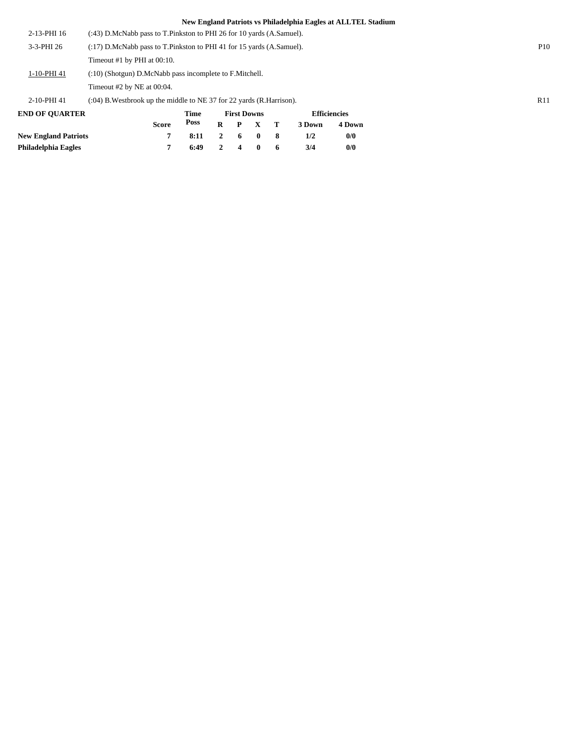| 2-13-PHI 16 | $(243)$ D.McNabb pass to T.Pinkston to PHI 26 for 10 yards $(A.Samuel)$ .  |                 |
|-------------|----------------------------------------------------------------------------|-----------------|
| 3-3-PHI 26  | $(2.17)$ D.McNabb pass to T.Pinkston to PHI 41 for 15 yards $(A.Samuel)$ . | P <sub>10</sub> |
|             | Timeout #1 by PHI at $00:10$ .                                             |                 |
| 1-10-PHI 41 | (:10) (Shotgun) D.McNabb pass incomplete to F.Mitchell.                    |                 |
|             | Timeout $#2$ by NE at 00:04.                                               |                 |
| 2-10-PHI 41 | $(0.04)$ B. Westbrook up the middle to NE 37 for 22 yards (R. Harrison).   | R11             |

**END OF QUARTER New England Patriots 7 8:11 2 6 0 8 1/2 0/0 Philadelphia Eagles 7 6:49 2 4 0 6 3/4 0/0 Score Time Poss First Downs R P X T Efficiencies 3 Down 4 Down**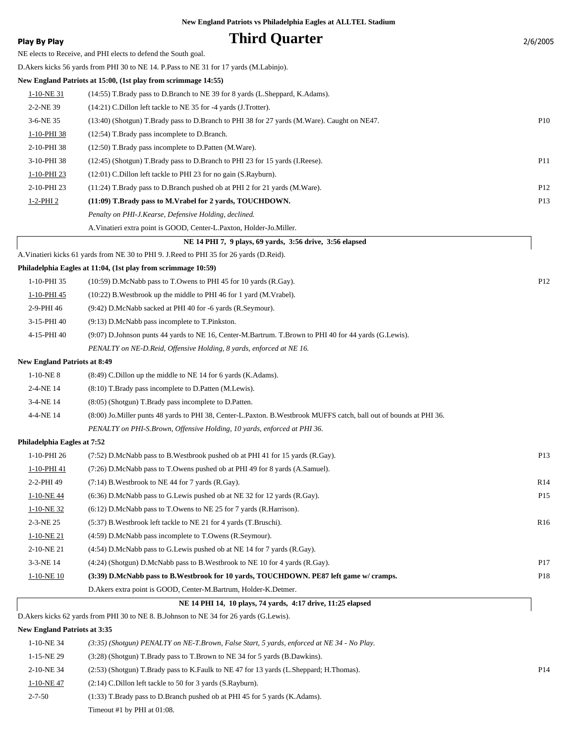| <b>Play By Play</b>                 | <b>Third Quarter</b>                                                                                                  | 2/6/2005        |
|-------------------------------------|-----------------------------------------------------------------------------------------------------------------------|-----------------|
|                                     | NE elects to Receive, and PHI elects to defend the South goal.                                                        |                 |
|                                     | D. Akers kicks 56 yards from PHI 30 to NE 14. P. Pass to NE 31 for 17 yards (M. Labinjo).                             |                 |
|                                     | New England Patriots at 15:00, (1st play from scrimmage 14:55)                                                        |                 |
| $1-10-NE$ 31                        | (14:55) T.Brady pass to D.Branch to NE 39 for 8 yards (L.Sheppard, K.Adams).                                          |                 |
| 2-2-NE 39                           | $(14:21)$ C.Dillon left tackle to NE 35 for -4 yards (J.Trotter).                                                     |                 |
| 3-6-NE 35                           | (13:40) (Shotgun) T.Brady pass to D.Branch to PHI 38 for 27 yards (M.Ware). Caught on NE47.                           | P10             |
| 1-10-PHI 38                         | (12:54) T.Brady pass incomplete to D.Branch.                                                                          |                 |
| 2-10-PHI 38                         | (12:50) T.Brady pass incomplete to D.Patten (M.Ware).                                                                 |                 |
| 3-10-PHI 38                         | (12:45) (Shotgun) T.Brady pass to D.Branch to PHI 23 for 15 yards (I.Reese).                                          | P11             |
| 1-10-PHI 23                         | $(12:01)$ C.Dillon left tackle to PHI 23 for no gain $(S.Rayburn)$ .                                                  |                 |
| 2-10-PHI 23                         | $(11:24)$ T.Brady pass to D.Branch pushed ob at PHI 2 for 21 yards (M.Ware).                                          | P <sub>12</sub> |
| $1 - 2 - PHI$ 2                     | (11:09) T.Brady pass to M.Vrabel for 2 yards, TOUCHDOWN.                                                              | P <sub>13</sub> |
|                                     | Penalty on PHI-J.Kearse, Defensive Holding, declined.                                                                 |                 |
|                                     | A. Vinatieri extra point is GOOD, Center-L. Paxton, Holder-Jo. Miller.                                                |                 |
|                                     | NE 14 PHI 7, 9 plays, 69 yards, 3:56 drive, 3:56 elapsed                                                              |                 |
|                                     | A. Vinatieri kicks 61 yards from NE 30 to PHI 9. J. Reed to PHI 35 for 26 yards (D. Reid).                            |                 |
|                                     | Philadelphia Eagles at 11:04, (1st play from scrimmage 10:59)                                                         |                 |
| 1-10-PHI 35                         | $(10:59)$ D.McNabb pass to T.Owens to PHI 45 for 10 yards (R.Gay).                                                    | P <sub>12</sub> |
| 1-10-PHI 45                         | $(10:22)$ B. Westbrook up the middle to PHI 46 for 1 yard (M. Vrabel).                                                |                 |
| 2-9-PHI 46                          | (9:42) D.McNabb sacked at PHI 40 for -6 yards (R.Seymour).                                                            |                 |
| 3-15-PHI 40                         | $(9:13)$ D.McNabb pass incomplete to T.Pinkston.                                                                      |                 |
| 4-15-PHI 40                         | (9:07) D.Johnson punts 44 yards to NE 16, Center-M.Bartrum. T.Brown to PHI 40 for 44 yards (G.Lewis).                 |                 |
|                                     | PENALTY on NE-D.Reid, Offensive Holding, 8 yards, enforced at NE 16.                                                  |                 |
| <b>New England Patriots at 8:49</b> |                                                                                                                       |                 |
| $1-10-NE_8$                         | $(8:49)$ C. Dillon up the middle to NE 14 for 6 yards (K. Adams).                                                     |                 |
| 2-4-NE 14                           | (8:10) T.Brady pass incomplete to D.Patten (M.Lewis).                                                                 |                 |
| 3-4-NE 14                           | (8:05) (Shotgun) T.Brady pass incomplete to D.Patten.                                                                 |                 |
| 4-4-NE 14                           | (8:00) Jo. Miller punts 48 yards to PHI 38, Center-L. Paxton. B. Westbrook MUFFS catch, ball out of bounds at PHI 36. |                 |
|                                     | PENALTY on PHI-S.Brown, Offensive Holding, 10 yards, enforced at PHI 36.                                              |                 |
| Philadelphia Eagles at 7:52         |                                                                                                                       |                 |
| 1-10-PHI 26                         | $(7:52)$ D.McNabb pass to B.Westbrook pushed ob at PHI 41 for 15 yards (R.Gay).                                       | P <sub>13</sub> |
| 1-10-PHI 41                         | (7:26) D.McNabb pass to T.Owens pushed ob at PHI 49 for 8 yards (A.Samuel).                                           |                 |
| 2-2-PHI 49                          | $(7:14)$ B. Westbrook to NE 44 for 7 yards $(R.Gay)$ .                                                                | R14             |
| 1-10-NE 44                          | $(6:36)$ D.McNabb pass to G.Lewis pushed ob at NE 32 for 12 yards (R.Gay).                                            | P <sub>15</sub> |
| $1-10-NE$ 32                        | $(6:12)$ D.McNabb pass to T.Owens to NE 25 for 7 yards (R.Harrison).                                                  |                 |
| 2-3-NE 25                           | (5:37) B. Westbrook left tackle to NE 21 for 4 yards (T. Bruschi).                                                    | R <sub>16</sub> |
| $1-10-NE21$                         | (4:59) D.McNabb pass incomplete to T.Owens (R.Seymour).                                                               |                 |
| 2-10-NE 21                          | $(4:54)$ D.McNabb pass to G.Lewis pushed ob at NE 14 for 7 yards (R.Gay).                                             |                 |
| 3-3-NE 14                           | $(4:24)$ (Shotgun) D.McNabb pass to B.Westbrook to NE 10 for 4 yards (R.Gay).                                         | P17             |
| $1-10-NE$ 10                        | (3:39) D.McNabb pass to B.Westbrook for 10 yards, TOUCHDOWN. PE87 left game w/ cramps.                                | P18             |
|                                     | D. Akers extra point is GOOD, Center-M. Bartrum, Holder-K. Detmer.                                                    |                 |
|                                     | NE 14 PHI 14, 10 plays, 74 yards, 4:17 drive, 11:25 elapsed                                                           |                 |
|                                     | D. Akers kicks 62 yards from PHI 30 to NE 8. B. Johnson to NE 34 for 26 yards (G. Lewis).                             |                 |

### **New England Patriots at 3:35**

| $1-10-NE$ 34 | $(3.35)$ (Shotgun) PENALTY on NE-T.Brown, False Start, 5 yards, enforced at NE 34 - No Play. |                 |
|--------------|----------------------------------------------------------------------------------------------|-----------------|
| 1-15-NE 29   | (3:28) (Shotgun) T.Brady pass to T.Brown to NE 34 for 5 yards (B.Dawkins).                   |                 |
| 2-10-NE 34   | (2.53) (Shotgun) T.Brady pass to K.Faulk to NE 47 for 13 yards (L.Sheppard; H.Thomas).       | P <sub>14</sub> |
| 1-10-NE47    | $(2:14)$ C.Dillon left tackle to 50 for 3 yards $(S.Rayburn)$ .                              |                 |
| $2 - 7 - 50$ | $(1:33)$ T.Brady pass to D.Branch pushed ob at PHI 45 for 5 yards (K.Adams).                 |                 |
|              | Timeout #1 by PHI at $01:08$ .                                                               |                 |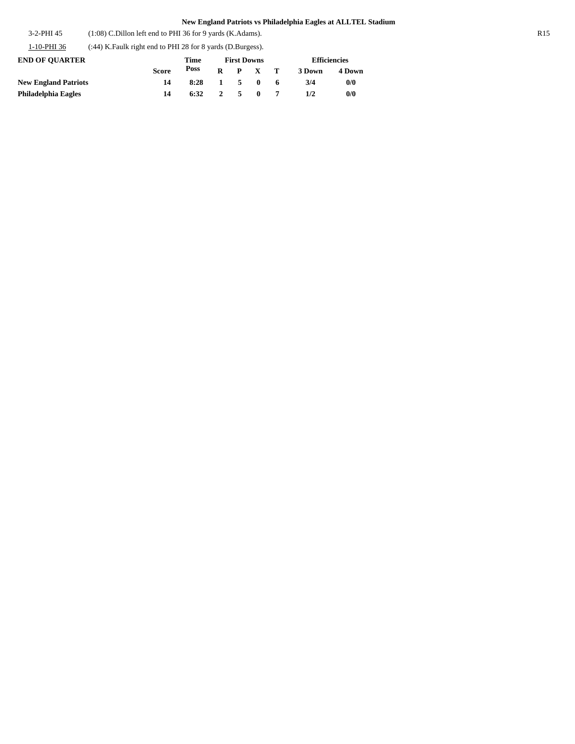3-2-PHI 45 (1:08) C.Dillon left end to PHI 36 for 9 yards (K.Adams). R15

1-10-PHI 36 (:44) K.Faulk right end to PHI 28 for 8 yards (D.Burgess).

| <b>END OF OUARTER</b>       |              | <b>First Downs</b> |                     |                 | <b>Efficiencies</b> |        |        |
|-----------------------------|--------------|--------------------|---------------------|-----------------|---------------------|--------|--------|
|                             | <b>Score</b> | Poss               |                     | $R$ $P$ $X$ $T$ |                     | 3 Down | 4 Down |
| <b>New England Patriots</b> | 14           | 8:28               | $1 \quad 5 \quad 0$ |                 | -6                  | 3/4    | 0/0    |
| Philadelphia Eagles         | 14           | $6:32 \t 2 \t 5$   |                     | $\mathbf{0}$    |                     | 1/2    | 0/0    |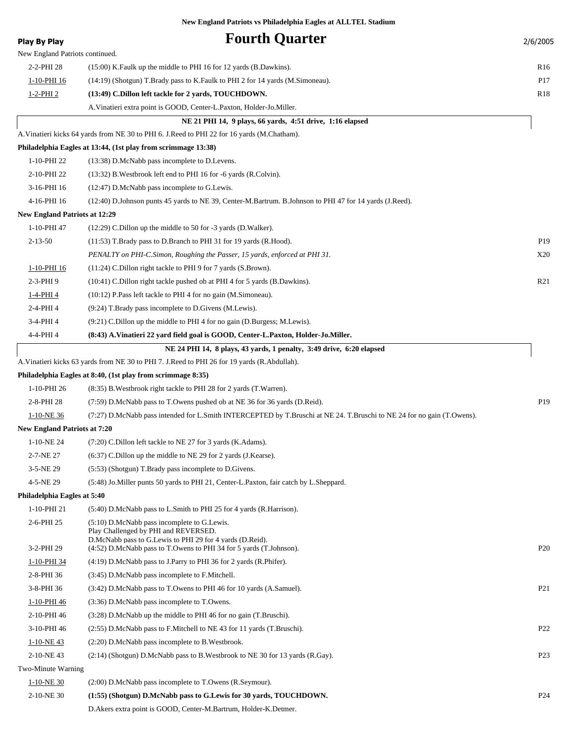| <b>Play By Play</b>                  | <b>Fourth Quarter</b>                                                                                                                             | 2/6/2005        |
|--------------------------------------|---------------------------------------------------------------------------------------------------------------------------------------------------|-----------------|
| New England Patriots continued.      |                                                                                                                                                   |                 |
| 2-2-PHI 28                           | (15:00) K. Faulk up the middle to PHI 16 for 12 yards (B. Dawkins).                                                                               | R <sub>16</sub> |
| 1-10-PHI 16                          | (14:19) (Shotgun) T.Brady pass to K.Faulk to PHI 2 for 14 yards (M.Simoneau).                                                                     | P <sub>17</sub> |
| 1-2-PHI 2                            | (13:49) C.Dillon left tackle for 2 yards, TOUCHDOWN.                                                                                              | R <sub>18</sub> |
|                                      | A. Vinatieri extra point is GOOD, Center-L. Paxton, Holder-Jo. Miller.                                                                            |                 |
|                                      | NE 21 PHI 14, 9 plays, 66 yards, 4:51 drive, 1:16 elapsed                                                                                         |                 |
|                                      | A. Vinatieri kicks 64 yards from NE 30 to PHI 6. J. Reed to PHI 22 for 16 yards (M. Chatham).                                                     |                 |
|                                      | Philadelphia Eagles at 13:44, (1st play from scrimmage 13:38)                                                                                     |                 |
| 1-10-PHI 22                          | (13:38) D.McNabb pass incomplete to D.Levens.                                                                                                     |                 |
| 2-10-PHI 22                          | $(13:32)$ B. Westbrook left end to PHI 16 for -6 yards $(R.Colvin)$ .                                                                             |                 |
| 3-16-PHI 16                          | (12:47) D.McNabb pass incomplete to G.Lewis.                                                                                                      |                 |
| 4-16-PHI 16                          | (12:40) D.Johnson punts 45 yards to NE 39, Center-M.Bartrum. B.Johnson to PHI 47 for 14 yards (J.Reed).                                           |                 |
| <b>New England Patriots at 12:29</b> |                                                                                                                                                   |                 |
| 1-10-PHI 47                          | $(12:29)$ C.Dillon up the middle to 50 for -3 yards (D.Walker).                                                                                   |                 |
| $2 - 13 - 50$                        | $(11:53)$ T.Brady pass to D.Branch to PHI 31 for 19 yards (R.Hood).                                                                               | P <sub>19</sub> |
|                                      | PENALTY on PHI-C.Simon, Roughing the Passer, 15 yards, enforced at PHI 31.                                                                        | X20             |
| 1-10-PHI 16                          | (11:24) C.Dillon right tackle to PHI 9 for 7 yards (S.Brown).                                                                                     |                 |
| 2-3-PHI9                             | (10:41) C.Dillon right tackle pushed ob at PHI 4 for 5 yards (B.Dawkins).                                                                         | R21             |
| 1-4-PHI 4                            | (10:12) P.Pass left tackle to PHI 4 for no gain (M.Simoneau).                                                                                     |                 |
| 2-4-PHI 4                            | (9:24) T.Brady pass incomplete to D.Givens (M.Lewis).                                                                                             |                 |
| 3-4-PHI 4                            | $(9:21)$ C. Dillon up the middle to PHI 4 for no gain (D. Burgess; M. Lewis).                                                                     |                 |
| 4-4-PHI 4                            | (8:43) A.Vinatieri 22 yard field goal is GOOD, Center-L.Paxton, Holder-Jo.Miller.                                                                 |                 |
|                                      | NE 24 PHI 14, 8 plays, 43 yards, 1 penalty, 3:49 drive, 6:20 elapsed                                                                              |                 |
|                                      | A. Vinatieri kicks 63 yards from NE 30 to PHI 7. J. Reed to PHI 26 for 19 yards (R. Abdullah).                                                    |                 |
|                                      | Philadelphia Eagles at 8:40, (1st play from scrimmage 8:35)                                                                                       |                 |
| 1-10-PHI 26                          | (8:35) B. Westbrook right tackle to PHI 28 for 2 yards (T. Warren).                                                                               |                 |
| 2-8-PHI 28                           | (7:59) D.McNabb pass to T.Owens pushed ob at NE 36 for 36 yards (D.Reid).                                                                         | P <sub>19</sub> |
| 1-10-NE 36                           | (7:27) D.McNabb pass intended for L.Smith INTERCEPTED by T.Bruschi at NE 24. T.Bruschi to NE 24 for no gain (T.Owens).                            |                 |
| <b>New England Patriots at 7:20</b>  |                                                                                                                                                   |                 |
| 1-10-NE 24                           | (7:20) C.Dillon left tackle to NE 27 for 3 yards (K.Adams).                                                                                       |                 |
| 2-7-NE 27                            | $(6:37)$ C.Dillon up the middle to NE 29 for 2 yards (J.Kearse).                                                                                  |                 |
| 3-5-NE 29                            | (5:53) (Shotgun) T.Brady pass incomplete to D.Givens.                                                                                             |                 |
| 4-5-NE 29                            | (5:48) Jo. Miller punts 50 yards to PHI 21, Center-L. Paxton, fair catch by L. Sheppard.                                                          |                 |
| Philadelphia Eagles at 5:40          |                                                                                                                                                   |                 |
| 1-10-PHI 21                          | (5:40) D.McNabb pass to L.Smith to PHI 25 for 4 yards (R.Harrison).                                                                               |                 |
| 2-6-PHI 25                           | $(5:10)$ D.McNabb pass incomplete to G.Lewis.<br>Play Challenged by PHI and REVERSED.<br>D.McNabb pass to G.Lewis to PHI 29 for 4 yards (D.Reid). |                 |
| 3-2-PHI 29                           | (4:52) D.McNabb pass to T.Owens to PHI 34 for 5 yards (T.Johnson).                                                                                | P <sub>20</sub> |
| <u>1-10-PHI 34</u>                   | $(4:19)$ D.McNabb pass to J.Parry to PHI 36 for 2 yards (R.Phifer).                                                                               |                 |
| 2-8-PHI 36                           | (3:45) D.McNabb pass incomplete to F.Mitchell.                                                                                                    |                 |
| 3-8-PHI 36                           | (3:42) D.McNabb pass to T.Owens to PHI 46 for 10 yards (A.Samuel).                                                                                | P <sub>21</sub> |
| 1-10-PHI 46                          | (3:36) D.McNabb pass incomplete to T.Owens.                                                                                                       |                 |
| 2-10-PHI 46                          | $(3:28)$ D.McNabb up the middle to PHI 46 for no gain (T.Bruschi).                                                                                |                 |
| 3-10-PHI 46                          | (2:55) D.McNabb pass to F.Mitchell to NE 43 for 11 yards (T.Bruschi).                                                                             | P <sub>22</sub> |
| 1-10-NE43                            | (2:20) D.McNabb pass incomplete to B.Westbrook.                                                                                                   |                 |
| 2-10-NE43                            | $(2.14)$ (Shotgun) D.McNabb pass to B.Westbrook to NE 30 for 13 yards (R.Gay).                                                                    | P <sub>23</sub> |
| Two-Minute Warning                   |                                                                                                                                                   |                 |
| 1-10-NE 30                           | (2:00) D.McNabb pass incomplete to T.Owens (R.Seymour).                                                                                           |                 |
| 2-10-NE 30                           | (1:55) (Shotgun) D.McNabb pass to G.Lewis for 30 yards, TOUCHDOWN.                                                                                | P <sub>24</sub> |
|                                      | D. Akers extra point is GOOD, Center-M. Bartrum, Holder-K. Detmer.                                                                                |                 |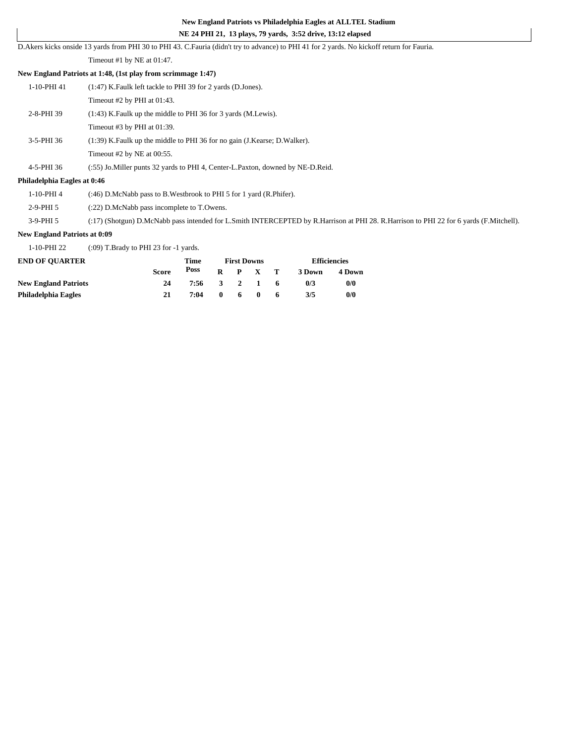# **NE 24 PHI 21, 13 plays, 79 yards, 3:52 drive, 13:12 elapsed**

D.Akers kicks onside 13 yards from PHI 30 to PHI 43. C.Fauria (didn't try to advance) to PHI 41 for 2 yards. No kickoff return for Fauria.

Timeout #1 by NE at 01:47.

#### **New England Patriots at 1:48, (1st play from scrimmage 1:47)**

| 1-10-PHI 41 | (1:47) K. Faulk left tackle to PHI 39 for 2 yards (D. Jones).               |
|-------------|-----------------------------------------------------------------------------|
|             | Timeout #2 by PHI at $01:43$ .                                              |
| 2-8-PHI 39  | (1:43) K. Faulk up the middle to PHI 36 for 3 yards (M. Lewis).             |
|             | Timeout $#3$ by PHI at $01:39$ .                                            |
| 3-5-PHI 36  | (1:39) K. Faulk up the middle to PHI 36 for no gain (J. Kearse; D. Walker). |
|             | Timeout $#2$ by NE at 00:55.                                                |

4-5-PHI 36 (:55) Jo.Miller punts 32 yards to PHI 4, Center-L.Paxton, downed by NE-D.Reid.

#### **Philadelphia Eagles at 0:46**

1-10-PHI 4 (:46) D.McNabb pass to B.Westbrook to PHI 5 for 1 yard (R.Phifer).

2-9-PHI 5 (:22) D.McNabb pass incomplete to T.Owens.

3-9-PHI 5 (:17) (Shotgun) D.McNabb pass intended for L.Smith INTERCEPTED by R.Harrison at PHI 28. R.Harrison to PHI 22 for 6 yards (F.Mitchell).

### **New England Patriots at 0:09**

1-10-PHI 22 (:09) T.Brady to PHI 23 for -1 yards.

| <b>END OF OUARTER</b>       |              | Time |              | <b>First Downs</b> |    | <b>Efficiencies</b> |        |  |
|-----------------------------|--------------|------|--------------|--------------------|----|---------------------|--------|--|
|                             | <b>Score</b> | Poss |              | $R$ $P$ $X$ $T$    |    | 3 Down              | 4 Down |  |
| <b>New England Patriots</b> | 24           | 7:56 |              | 3 2 1 6            |    | 0/3                 | 0/0    |  |
| Philadelphia Eagles         | 21           | 7:04 | $\mathbf{0}$ | 60                 | -6 | 3/5                 | 0/0    |  |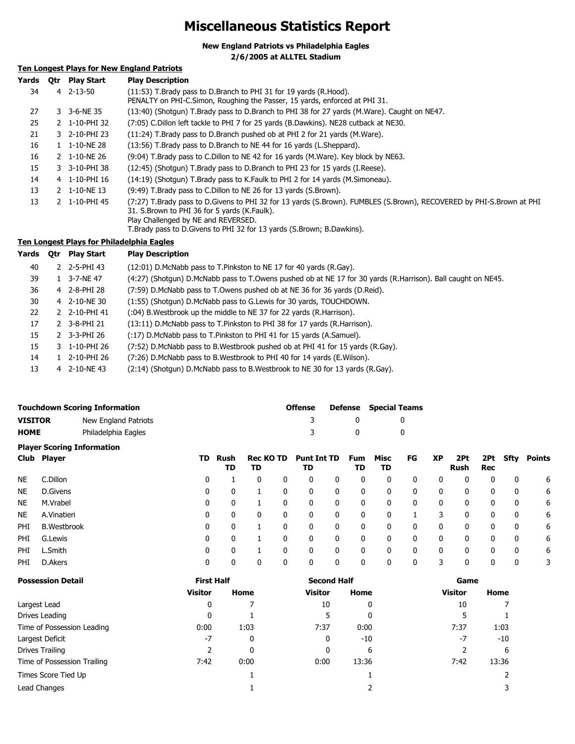# **Miscellaneous Statistics Report**

**New England Patriots vs Philadelphia Eagles**

**2/6/2005 at ALLTEL Stadium**

## **Ten Longest Plays for New England Patriots**

| Yards | <b>Otr</b> | <b>Play Start</b> | <b>Play Description</b>                                                                                                                                                                                                                                                                |
|-------|------------|-------------------|----------------------------------------------------------------------------------------------------------------------------------------------------------------------------------------------------------------------------------------------------------------------------------------|
| 34    |            | 4 2-13-50         | (11:53) T.Brady pass to D.Branch to PHI 31 for 19 yards (R.Hood).<br>PENALTY on PHI-C.Simon, Roughing the Passer, 15 yards, enforced at PHI 31.                                                                                                                                        |
| 27    |            | 3 3-6-NE 35       | (13:40) (Shotgun) T.Brady pass to D.Branch to PHI 38 for 27 yards (M.Ware). Caught on NE47.                                                                                                                                                                                            |
| 25    |            | 2 1-10-PHI 32     | (7:05) C.Dillon left tackle to PHI 7 for 25 yards (B.Dawkins). NE28 cutback at NE30.                                                                                                                                                                                                   |
| 21    |            | 3 2-10-PHI 23     | (11:24) T.Brady pass to D.Branch pushed ob at PHI 2 for 21 yards (M.Ware).                                                                                                                                                                                                             |
| 16    |            | 1 1-10-NE 28      | (13:56) T.Brady pass to D.Branch to NE 44 for 16 yards (L.Sheppard).                                                                                                                                                                                                                   |
| 16    |            | 2 1-10-NE 26      | (9:04) T.Brady pass to C.Dillon to NE 42 for 16 yards (M.Ware). Key block by NE63.                                                                                                                                                                                                     |
| 15    |            | 3 3-10-PHI 38     | (12:45) (Shotgun) T.Brady pass to D.Branch to PHI 23 for 15 yards (I.Reese).                                                                                                                                                                                                           |
| 14    |            | 4 1-10-PHI 16     | (14:19) (Shotgun) T.Brady pass to K.Faulk to PHI 2 for 14 yards (M.Simoneau).                                                                                                                                                                                                          |
| 13    |            | 2 1-10-NE 13      | (9:49) T.Brady pass to C.Dillon to NE 26 for 13 yards (S.Brown).                                                                                                                                                                                                                       |
| 13    |            | 2 1-10-PHI 45     | (7:27) T.Brady pass to D.Givens to PHI 32 for 13 yards (S.Brown). FUMBLES (S.Brown), RECOVERED by PHI-S.Brown at PHI<br>31. S. Brown to PHI 36 for 5 yards (K. Faulk).<br>Play Challenged by NE and REVERSED.<br>T.Brady pass to D.Givens to PHI 32 for 13 yards (S.Brown; B.Dawkins). |

**Ten Longest Plays for Philadelphia Eagles**

### **Yards Qtr Play Start Play Description**

| rarus | <b>VUT PIAY SLATL</b> | <b>PIDY DESCRIPTION</b>                                                                                      |
|-------|-----------------------|--------------------------------------------------------------------------------------------------------------|
| 40    | 2 2-5-PHI 43          | (12:01) D.McNabb pass to T.Pinkston to NE 17 for 40 yards (R.Gay).                                           |
| 39    | 3-7-NE 47             | (4:27) (Shotgun) D.McNabb pass to T.Owens pushed ob at NE 17 for 30 yards (R.Harrison). Ball caught on NE45. |
| 36    | 4 2-8-PHI 28          | (7:59) D.McNabb pass to T.Owens pushed ob at NE 36 for 36 yards (D.Reid).                                    |
| 30    | 4 2-10-NE 30          | (1:55) (Shotgun) D.McNabb pass to G.Lewis for 30 yards, TOUCHDOWN.                                           |
| 22    | 2 2-10-PHI 41         | (:04) B. Westbrook up the middle to NE 37 for 22 yards (R. Harrison).                                        |
| 17    | 2 3-8-PHI 21          | (13:11) D.McNabb pass to T.Pinkston to PHI 38 for 17 yards (R.Harrison).                                     |
| 15    | 2 3-3-PHI 26          | (:17) D.McNabb pass to T.Pinkston to PHI 41 for 15 yards (A.Samuel).                                         |
| 15    | 3 1-10-PHI 26         | (7:52) D.McNabb pass to B.Westbrook pushed ob at PHI 41 for 15 yards (R.Gay).                                |
| 14    | 2-10-PHI 26           | (7:26) D.McNabb pass to B.Westbrook to PHI 40 for 14 yards (E.Wilson).                                       |
| 13    | 4 2-10-NE43           | (2:14) (Shotgun) D.McNabb pass to B.Westbrook to NE 30 for 13 yards (R.Gay).                                 |
|       |                       |                                                                                                              |

| <b>Touchdown Scoring Information</b> |                    |                                   |    |            |                        |              | <b>Offense</b>           |              | <b>Defense</b>   | <b>Special Teams</b> |              |              |             |              |      |               |
|--------------------------------------|--------------------|-----------------------------------|----|------------|------------------------|--------------|--------------------------|--------------|------------------|----------------------|--------------|--------------|-------------|--------------|------|---------------|
| <b>VISITOR</b>                       |                    | New England Patriots              |    |            |                        |              | 3                        |              | 0                |                      | 0            |              |             |              |      |               |
| Philadelphia Eagles<br><b>HOME</b>   |                    |                                   |    |            |                        | 3            |                          | 0            |                  | 0                    |              |              |             |              |      |               |
|                                      |                    | <b>Player Scoring Information</b> |    |            |                        |              |                          |              |                  |                      |              |              |             |              |      |               |
|                                      | Club Player        |                                   | TD | Rush<br>TD | <b>Rec KO TD</b><br>TD |              | <b>Punt Int TD</b><br>TD |              | <b>Fum</b><br>TD | Misc<br>TD           | FG           | <b>XP</b>    | 2Pt<br>Rush | 2Pt<br>Rec   | Sfty | <b>Points</b> |
| <b>NE</b>                            | C.Dillon           |                                   | 0  |            | 0                      | 0            | 0                        | 0            | 0                | 0                    | 0            | 0            | 0           | 0            | 0    | 6             |
| <b>NE</b>                            | D.Givens           |                                   | 0  | 0          |                        | 0            | $\mathbf{0}$             | 0            | 0                | 0                    | 0            | 0            | 0           | 0            | 0    | 6             |
| <b>NE</b>                            | M.Vrabel           |                                   | 0  | 0          |                        | 0            | $\mathbf{0}$             | 0            | 0                | 0                    | 0            | 0            | 0           | 0            | 0    | 6             |
| <b>NE</b>                            | A.Vinatieri        |                                   | 0  | 0          | $\mathbf{0}$           | 0            | $\mathbf{0}$             | $\mathbf{0}$ | 0                | 0                    |              | 3            | 0           | $\mathbf{0}$ | 0    | 6             |
| PHI                                  | <b>B.Westbrook</b> |                                   | 0  | 0          |                        | $\mathbf{0}$ | $\mathbf{0}$             | $\mathbf{0}$ | 0                | 0                    | $\mathbf{0}$ | $\mathbf{0}$ | 0           | 0            | 0    | 6             |
| PHI                                  | G.Lewis            |                                   | 0  | 0          |                        | 0            | $\mathbf{0}$             | $\mathbf{0}$ | 0                | 0                    | $\mathbf{0}$ | $\mathbf{0}$ | 0           | $\mathbf{0}$ | 0    | 6             |
| PHI                                  | L.Smith            |                                   | 0  | 0          |                        | 0            | 0                        | 0            | 0                | 0                    | 0            | 0            | 0           | 0            | 0    | 6             |

PHI D.Akers 0 0 0 0 0 0 0 0 0 3 0 0 0 3

| <b>Possession Detail</b>    | <b>First Half</b> |      | <b>Second Half</b> |       | Game           |       |  |
|-----------------------------|-------------------|------|--------------------|-------|----------------|-------|--|
|                             | <b>Visitor</b>    | Home | <b>Visitor</b>     | Home  | <b>Visitor</b> | Home  |  |
| Largest Lead                | 0                 |      | 10                 | 0     | 10             |       |  |
| Drives Leading              | 0                 |      | 5                  | 0     |                |       |  |
| Time of Possession Leading  | 0:00              | 1:03 | 7:37               | 0:00  | 7:37           | 1:03  |  |
| Largest Deficit             | $-7$              | 0    | 0                  | $-10$ | $-7$           | -10   |  |
| Drives Trailing             | 2                 | 0    | 0                  | 6     |                | 6     |  |
| Time of Possession Trailing | 7:42              | 0:00 | 0:00               | 13:36 | 7:42           | 13:36 |  |
| Times Score Tied Up         |                   |      |                    |       |                |       |  |
| Lead Changes                |                   |      |                    |       |                |       |  |